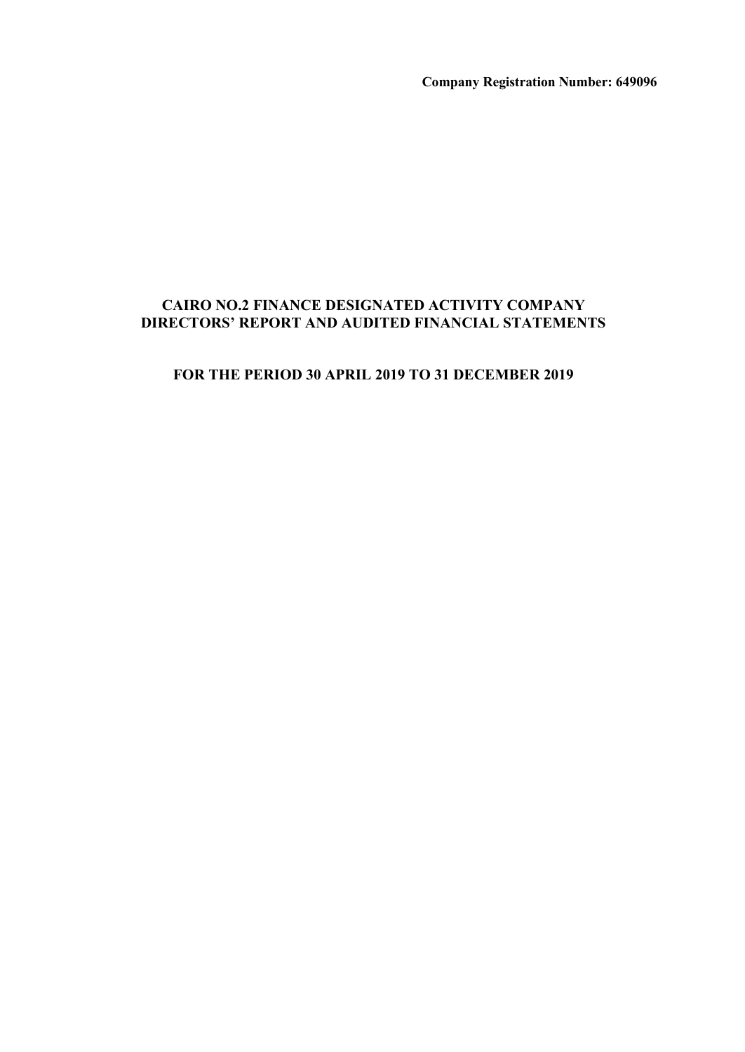**Company Registration Number: 649096**

## **CAIRO NO.2 FINANCE DESIGNATED ACTIVITY COMPANY DIRECTORS' REPORT AND AUDITED FINANCIAL STATEMENTS**

## **FOR THE PERIOD 30 APRIL 2019 TO 31 DECEMBER 2019**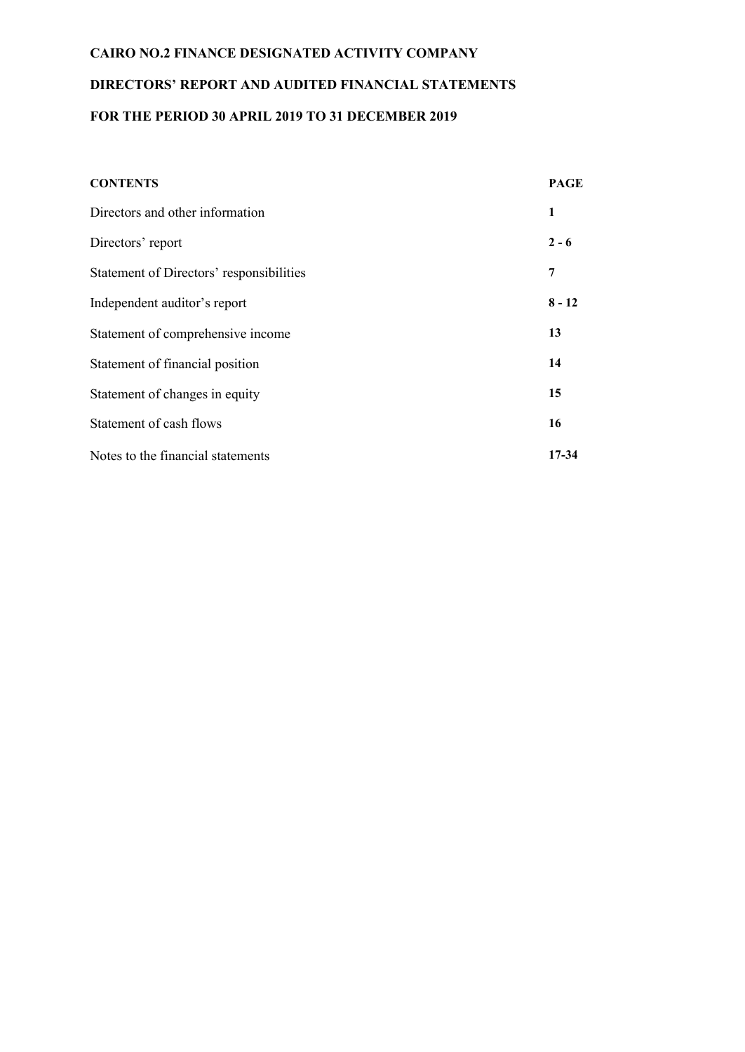# **CAIRO NO.2 FINANCE DESIGNATED ACTIVITY COMPANY DIRECTORS' REPORT AND AUDITED FINANCIAL STATEMENTS FOR THE PERIOD 30 APRIL 2019 TO 31 DECEMBER 2019**

| <b>CONTENTS</b>                          | <b>PAGE</b> |
|------------------------------------------|-------------|
| Directors and other information          | 1           |
| Directors' report                        | $2 - 6$     |
| Statement of Directors' responsibilities | 7           |
| Independent auditor's report             | $8 - 12$    |
| Statement of comprehensive income        | 13          |
| Statement of financial position          | 14          |
| Statement of changes in equity           | 15          |
| Statement of cash flows                  | 16          |
| Notes to the financial statements        | 17-34       |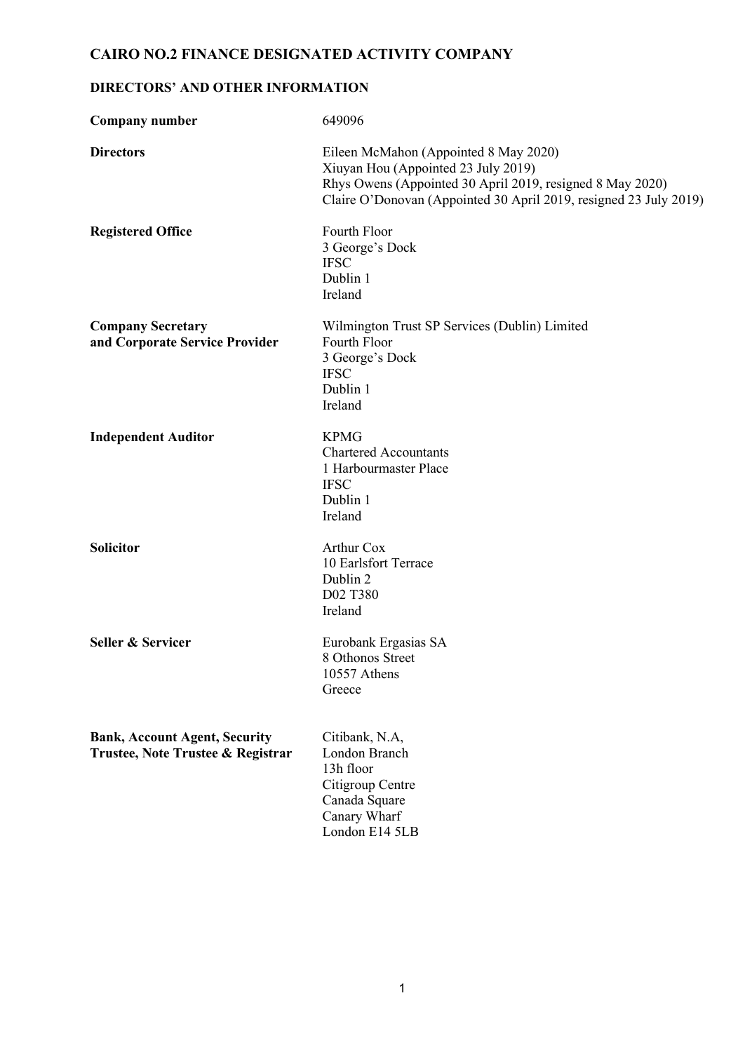## **DIRECTORS' AND OTHER INFORMATION**

| Company number                                                            | 649096                                                                                                                                                                                                         |
|---------------------------------------------------------------------------|----------------------------------------------------------------------------------------------------------------------------------------------------------------------------------------------------------------|
| <b>Directors</b>                                                          | Eileen McMahon (Appointed 8 May 2020)<br>Xiuyan Hou (Appointed 23 July 2019)<br>Rhys Owens (Appointed 30 April 2019, resigned 8 May 2020)<br>Claire O'Donovan (Appointed 30 April 2019, resigned 23 July 2019) |
| <b>Registered Office</b>                                                  | Fourth Floor<br>3 George's Dock<br><b>IFSC</b><br>Dublin 1<br>Ireland                                                                                                                                          |
| <b>Company Secretary</b><br>and Corporate Service Provider                | Wilmington Trust SP Services (Dublin) Limited<br>Fourth Floor<br>3 George's Dock<br><b>IFSC</b><br>Dublin 1<br>Ireland                                                                                         |
| <b>Independent Auditor</b>                                                | <b>KPMG</b><br><b>Chartered Accountants</b><br>1 Harbourmaster Place<br><b>IFSC</b><br>Dublin 1<br>Ireland                                                                                                     |
| <b>Solicitor</b>                                                          | <b>Arthur Cox</b><br>10 Earlsfort Terrace<br>Dublin 2<br>D02 T380<br>Ireland                                                                                                                                   |
| Seller & Servicer                                                         | Eurobank Ergasias SA<br>8 Othonos Street<br>10557 Athens<br>Greece                                                                                                                                             |
| <b>Bank, Account Agent, Security</b><br>Trustee, Note Trustee & Registrar | Citibank, N.A,<br>London Branch<br>13h floor<br>Citigroup Centre<br>Canada Square<br>Canary Wharf<br>London E14 5LB                                                                                            |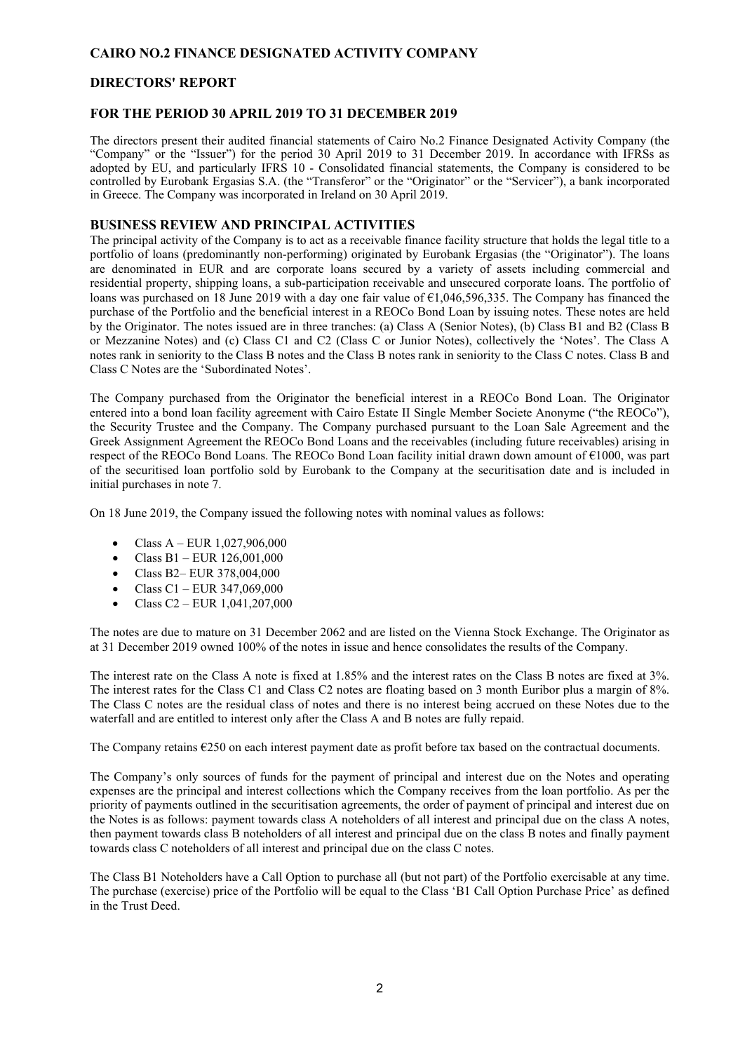#### **DIRECTORS' REPORT**

#### **FOR THE PERIOD 30 APRIL 2019 TO 31 DECEMBER 2019**

The directors present their audited financial statements of Cairo No.2 Finance Designated Activity Company (the "Company" or the "Issuer") for the period 30 April 2019 to 31 December 2019. In accordance with IFRSs as adopted by EU, and particularly IFRS 10 - Consolidated financial statements, the Company is considered to be controlled by Eurobank Ergasias S.A. (the "Transferor" or the "Originator" or the "Servicer"), a bank incorporated in Greece. The Company was incorporated in Ireland on 30 April 2019.

#### **BUSINESS REVIEW AND PRINCIPAL ACTIVITIES**

The principal activity of the Company is to act as a receivable finance facility structure that holds the legal title to a portfolio of loans (predominantly non-performing) originated by Eurobank Ergasias (the "Originator"). The loans are denominated in EUR and are corporate loans secured by a variety of assets including commercial and residential property, shipping loans, a sub-participation receivable and unsecured corporate loans. The portfolio of loans was purchased on 18 June 2019 with a day one fair value of  $\epsilon$ 1,046,596,335. The Company has financed the purchase of the Portfolio and the beneficial interest in a REOCo Bond Loan by issuing notes. These notes are held by the Originator. The notes issued are in three tranches: (a) Class A (Senior Notes), (b) Class B1 and B2 (Class B or Mezzanine Notes) and (c) Class C1 and C2 (Class C or Junior Notes), collectively the 'Notes'. The Class A notes rank in seniority to the Class B notes and the Class B notes rank in seniority to the Class C notes. Class B and Class C Notes are the 'Subordinated Notes'.

The Company purchased from the Originator the beneficial interest in a REOCo Bond Loan. The Originator entered into a bond loan facility agreement with Cairo Estate II Single Member Societe Anonyme ("the REOCo"), the Security Trustee and the Company. The Company purchased pursuant to the Loan Sale Agreement and the Greek Assignment Agreement the REOCo Bond Loans and the receivables (including future receivables) arising in respect of the REOCo Bond Loans. The REOCo Bond Loan facility initial drawn down amount of  $\epsilon$ 1000, was part of the securitised loan portfolio sold by Eurobank to the Company at the securitisation date and is included in initial purchases in note 7.

On 18 June 2019, the Company issued the following notes with nominal values as follows:

- Class  $A$  EUR 1,027,906,000
- Class B1 EUR  $126,001,000$
- Class B2– EUR 378,004,000
- Class C1 EUR 347,069,000
- Class C2 EUR  $1,041,207,000$

The notes are due to mature on 31 December 2062 and are listed on the Vienna Stock Exchange. The Originator as at 31 December 2019 owned 100% of the notes in issue and hence consolidates the results of the Company.

The interest rate on the Class A note is fixed at 1.85% and the interest rates on the Class B notes are fixed at 3%. The interest rates for the Class C1 and Class C2 notes are floating based on 3 month Euribor plus a margin of 8%. The Class C notes are the residual class of notes and there is no interest being accrued on these Notes due to the waterfall and are entitled to interest only after the Class A and B notes are fully repaid.

The Company retains €250 on each interest payment date as profit before tax based on the contractual documents.

The Company's only sources of funds for the payment of principal and interest due on the Notes and operating expenses are the principal and interest collections which the Company receives from the loan portfolio. As per the priority of payments outlined in the securitisation agreements, the order of payment of principal and interest due on the Notes is as follows: payment towards class A noteholders of all interest and principal due on the class A notes, then payment towards class B noteholders of all interest and principal due on the class B notes and finally payment towards class C noteholders of all interest and principal due on the class C notes.

The Class B1 Noteholders have a Call Option to purchase all (but not part) of the Portfolio exercisable at any time. The purchase (exercise) price of the Portfolio will be equal to the Class 'B1 Call Option Purchase Price' as defined in the Trust Deed.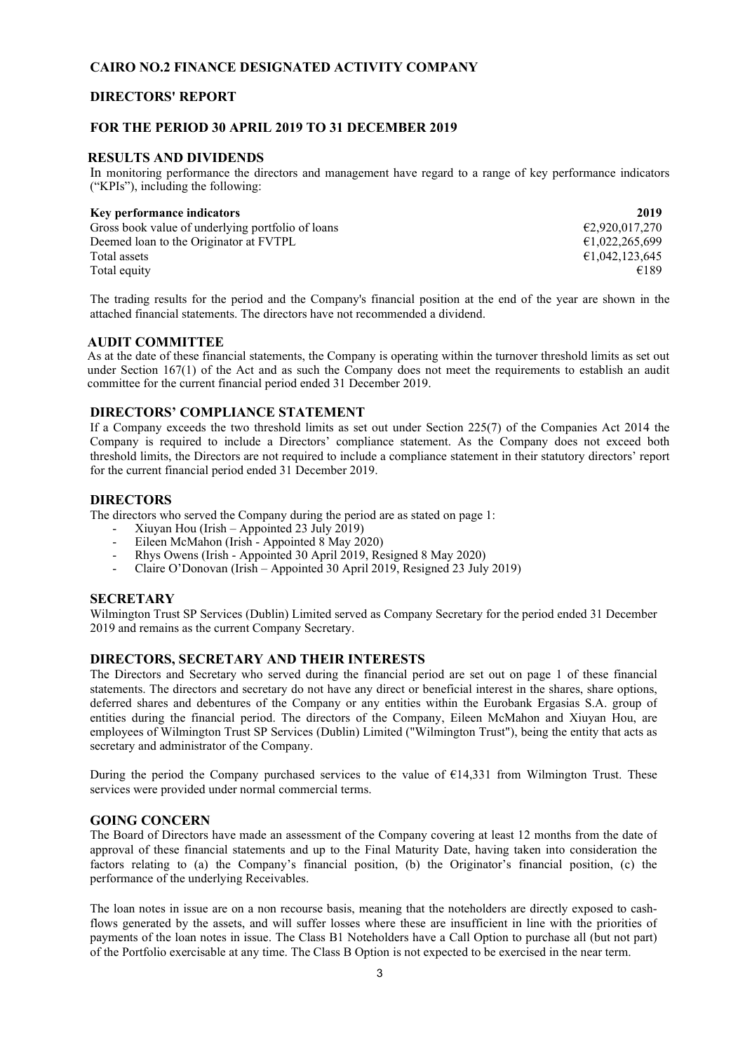### **DIRECTORS' REPORT**

#### **FOR THE PERIOD 30 APRIL 2019 TO 31 DECEMBER 2019**

#### **RESULTS AND DIVIDENDS**

In monitoring performance the directors and management have regard to a range of key performance indicators ("KPIs"), including the following:

## **Key performance indicators 2019**

| <b>NEV DEFIORMANCE MUICALORS</b>                  | 2017.          |
|---------------------------------------------------|----------------|
| Gross book value of underlying portfolio of loans | €2.920.017.270 |
| Deemed loan to the Originator at FVTPL            | £1,022,265,699 |
| Total assets                                      | €1,042,123,645 |
| Total equity                                      | €189           |

The trading results for the period and the Company's financial position at the end of the year are shown in the attached financial statements. The directors have not recommended a dividend.

#### **AUDIT COMMITTEE**

As at the date of these financial statements, the Company is operating within the turnover threshold limits as set out under Section 167(1) of the Act and as such the Company does not meet the requirements to establish an audit committee for the current financial period ended 31 December 2019.

#### **DIRECTORS' COMPLIANCE STATEMENT**

If a Company exceeds the two threshold limits as set out under Section 225(7) of the Companies Act 2014 the Company is required to include a Directors' compliance statement. As the Company does not exceed both threshold limits, the Directors are not required to include a compliance statement in their statutory directors' report for the current financial period ended 31 December 2019.

#### **DIRECTORS**

The directors who served the Company during the period are as stated on page 1:

- Xiuyan Hou (Irish Appointed 23 July 2019)
- Eileen McMahon (Irish Appointed 8 May 2020)
- Rhys Owens (Irish Appointed 30 April 2019, Resigned 8 May 2020)
- Claire O'Donovan (Irish Appointed 30 April 2019, Resigned 23 July 2019)

#### **SECRETARY**

Wilmington Trust SP Services (Dublin) Limited served as Company Secretary for the period ended 31 December 2019 and remains as the current Company Secretary.

#### **DIRECTORS, SECRETARY AND THEIR INTERESTS**

The Directors and Secretary who served during the financial period are set out on page 1 of these financial statements. The directors and secretary do not have any direct or beneficial interest in the shares, share options, deferred shares and debentures of the Company or any entities within the Eurobank Ergasias S.A. group of entities during the financial period. The directors of the Company, Eileen McMahon and Xiuyan Hou, are employees of Wilmington Trust SP Services (Dublin) Limited ("Wilmington Trust"), being the entity that acts as secretary and administrator of the Company.

During the period the Company purchased services to the value of  $E14,331$  from Wilmington Trust. These services were provided under normal commercial terms.

#### **GOING CONCERN**

The Board of Directors have made an assessment of the Company covering at least 12 months from the date of approval of these financial statements and up to the Final Maturity Date, having taken into consideration the factors relating to (a) the Company's financial position, (b) the Originator's financial position, (c) the performance of the underlying Receivables.

The loan notes in issue are on a non recourse basis, meaning that the noteholders are directly exposed to cashflows generated by the assets, and will suffer losses where these are insufficient in line with the priorities of payments of the loan notes in issue. The Class B1 Noteholders have a Call Option to purchase all (but not part) of the Portfolio exercisable at any time. The Class B Option is not expected to be exercised in the near term.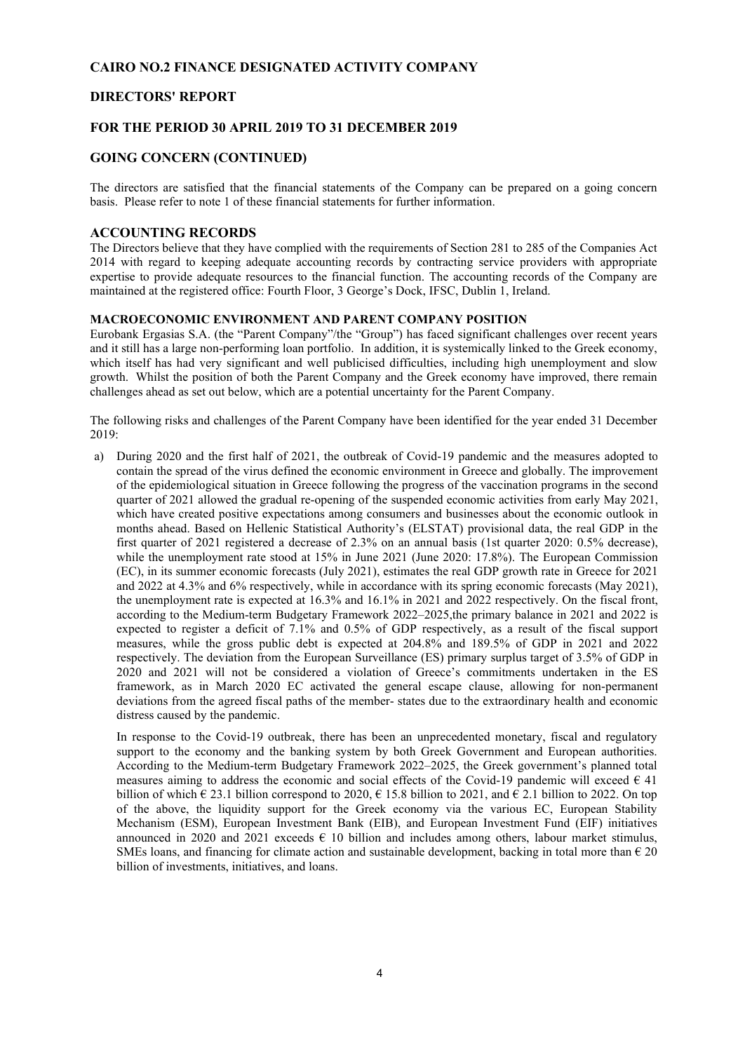#### **DIRECTORS' REPORT**

#### **FOR THE PERIOD 30 APRIL 2019 TO 31 DECEMBER 2019**

#### **GOING CONCERN (CONTINUED)**

The directors are satisfied that the financial statements of the Company can be prepared on a going concern basis. Please refer to note 1 of these financial statements for further information.

#### **ACCOUNTING RECORDS**

The Directors believe that they have complied with the requirements of Section 281 to 285 of the Companies Act 2014 with regard to keeping adequate accounting records by contracting service providers with appropriate expertise to provide adequate resources to the financial function. The accounting records of the Company are maintained at the registered office: Fourth Floor, 3 George's Dock, IFSC, Dublin 1, Ireland.

#### **MACROECONOMIC ENVIRONMENT AND PARENT COMPANY POSITION**

Eurobank Ergasias S.A. (the "Parent Company"/the "Group") has faced significant challenges over recent years and it still has a large non-performing loan portfolio. In addition, it is systemically linked to the Greek economy, which itself has had very significant and well publicised difficulties, including high unemployment and slow growth. Whilst the position of both the Parent Company and the Greek economy have improved, there remain challenges ahead as set out below, which are a potential uncertainty for the Parent Company.

The following risks and challenges of the Parent Company have been identified for the year ended 31 December 2019:

a) During 2020 and the first half of 2021, the outbreak of Covid-19 pandemic and the measures adopted to contain the spread of the virus defined the economic environment in Greece and globally. The improvement of the epidemiological situation in Greece following the progress of the vaccination programs in the second quarter of 2021 allowed the gradual re-opening of the suspended economic activities from early May 2021, which have created positive expectations among consumers and businesses about the economic outlook in months ahead. Based on Hellenic Statistical Authority's (ELSTAT) provisional data, the real GDP in the first quarter of 2021 registered a decrease of 2.3% on an annual basis (1st quarter 2020: 0.5% decrease), while the unemployment rate stood at 15% in June 2021 (June 2020: 17.8%). The European Commission (EC), in its summer economic forecasts (July 2021), estimates the real GDP growth rate in Greece for 2021 and 2022 at 4.3% and 6% respectively, while in accordance with its spring economic forecasts (May 2021), the unemployment rate is expected at 16.3% and 16.1% in 2021 and 2022 respectively. On the fiscal front, according to the Medium-term Budgetary Framework 2022–2025, the primary balance in 2021 and 2022 is expected to register a deficit of 7.1% and 0.5% of GDP respectively, as a result of the fiscal support measures, while the gross public debt is expected at 204.8% and 189.5% of GDP in 2021 and 2022 respectively. The deviation from the European Surveillance (ES) primary surplus target of 3.5% of GDP in 2020 and 2021 will not be considered a violation of Greece's commitments undertaken in the ES framework, as in March 2020 EC activated the general escape clause, allowing for non-permanent deviations from the agreed fiscal paths of the member- states due to the extraordinary health and economic distress caused by the pandemic.

In response to the Covid-19 outbreak, there has been an unprecedented monetary, fiscal and regulatory support to the economy and the banking system by both Greek Government and European authorities. According to the Medium-term Budgetary Framework 2022–2025, the Greek government's planned total measures aiming to address the economic and social effects of the Covid-19 pandemic will exceed  $\in$  41 billion of which  $\epsilon$  23.1 billion correspond to 2020,  $\epsilon$  15.8 billion to 2021, and  $\epsilon$  2.1 billion to 2022. On top of the above, the liquidity support for the Greek economy via the various EC, European Stability Mechanism (ESM), European Investment Bank (EIB), and European Investment Fund (EIF) initiatives announced in 2020 and 2021 exceeds  $\epsilon$  10 billion and includes among others, labour market stimulus, SMEs loans, and financing for climate action and sustainable development, backing in total more than  $\epsilon$  20 billion of investments, initiatives, and loans.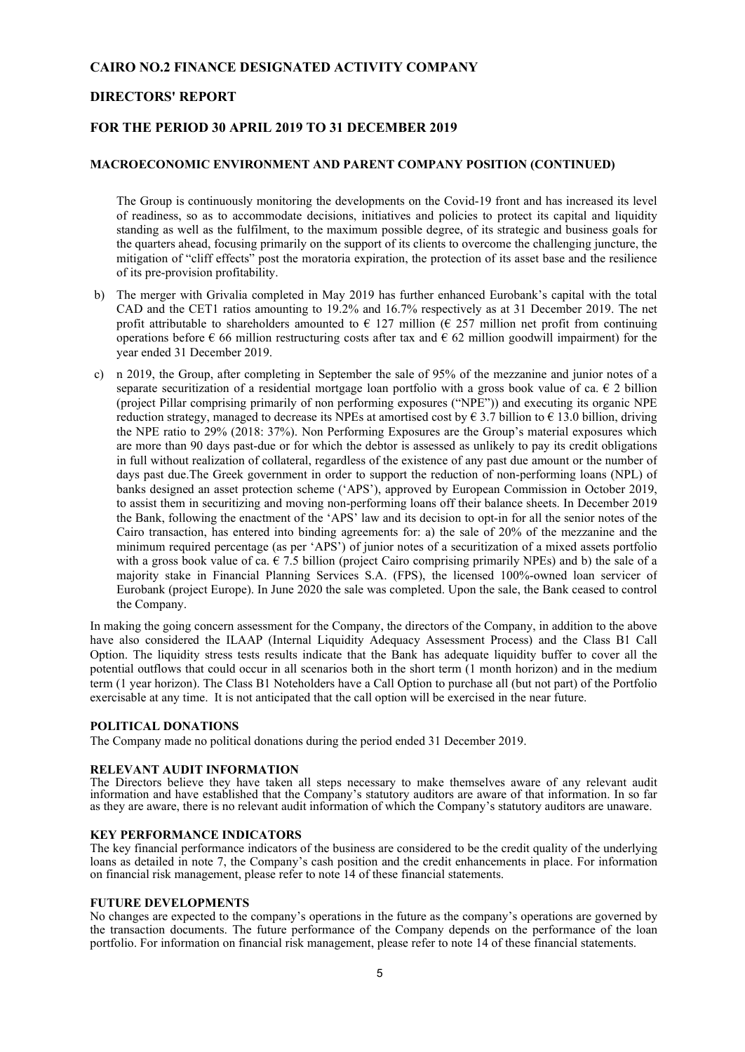#### **DIRECTORS' REPORT**

#### **FOR THE PERIOD 30 APRIL 2019 TO 31 DECEMBER 2019**

#### **MACROECONOMIC ENVIRONMENT AND PARENT COMPANY POSITION (CONTINUED)**

The Group is continuously monitoring the developments on the Covid-19 front and has increased its level of readiness, so as to accommodate decisions, initiatives and policies to protect its capital and liquidity standing as well as the fulfilment, to the maximum possible degree, of its strategic and business goals for the quarters ahead, focusing primarily on the support of its clients to overcome the challenging juncture, the mitigation of "cliff effects" post the moratoria expiration, the protection of its asset base and the resilience of its pre-provision profitability.

- b) The merger with Grivalia completed in May 2019 has further enhanced Eurobank's capital with the total CAD and the CET1 ratios amounting to 19.2% and 16.7% respectively as at 31 December 2019. The net profit attributable to shareholders amounted to  $\epsilon$  127 million ( $\epsilon$  257 million net profit from continuing operations before  $\epsilon$  66 million restructuring costs after tax and  $\epsilon$  62 million goodwill impairment) for the year ended 31 December 2019.
- c) n 2019, the Group, after completing in September the sale of 95% of the mezzanine and junior notes of a separate securitization of a residential mortgage loan portfolio with a gross book value of ca.  $\epsilon$  2 billion (project Pillar comprising primarily of non performing exposures ("NPE")) and executing its organic NPE reduction strategy, managed to decrease its NPEs at amortised cost by  $\epsilon$  3.7 billion to  $\epsilon$  13.0 billion, driving the NPE ratio to 29% (2018: 37%). Non Performing Exposures are the Group's material exposures which are more than 90 days past-due or for which the debtor is assessed as unlikely to pay its credit obligations in full without realization of collateral, regardless of the existence of any past due amount or the number of days past due.The Greek government in order to support the reduction of non-performing loans (NPL) of banks designed an asset protection scheme ('APS'), approved by European Commission in October 2019, to assist them in securitizing and moving non-performing loans off their balance sheets. In December 2019 the Bank, following the enactment of the 'APS' law and its decision to opt-in for all the senior notes of the Cairo transaction, has entered into binding agreements for: a) the sale of 20% of the mezzanine and the minimum required percentage (as per 'APS') of junior notes of a securitization of a mixed assets portfolio with a gross book value of ca.  $\epsilon$  7.5 billion (project Cairo comprising primarily NPEs) and b) the sale of a majority stake in Financial Planning Services S.A. (FPS), the licensed 100%-owned loan servicer of Eurobank (project Europe). In June 2020 the sale was completed. Upon the sale, the Bank ceased to control the Company.

In making the going concern assessment for the Company, the directors of the Company, in addition to the above have also considered the ILAAP (Internal Liquidity Adequacy Assessment Process) and the Class B1 Call Option. The liquidity stress tests results indicate that the Bank has adequate liquidity buffer to cover all the potential outflows that could occur in all scenarios both in the short term (1 month horizon) and in the medium term (1 year horizon). The Class B1 Noteholders have a Call Option to purchase all (but not part) of the Portfolio exercisable at any time. It is not anticipated that the call option will be exercised in the near future.

#### **POLITICAL DONATIONS**

The Company made no political donations during the period ended 31 December 2019.

#### **RELEVANT AUDIT INFORMATION**

The Directors believe they have taken all steps necessary to make themselves aware of any relevant audit information and have established that the Company's statutory auditors are aware of that information. In so far as they are aware, there is no relevant audit information of which the Company's statutory auditors are unaware.

#### **KEY PERFORMANCE INDICATORS**

The key financial performance indicators of the business are considered to be the credit quality of the underlying loans as detailed in note 7, the Company's cash position and the credit enhancements in place. For information on financial risk management, please refer to note 14 of these financial statements.

#### **FUTURE DEVELOPMENTS**

No changes are expected to the company's operations in the future as the company's operations are governed by the transaction documents. The future performance of the Company depends on the performance of the loan portfolio. For information on financial risk management, please refer to note 14 of these financial statements.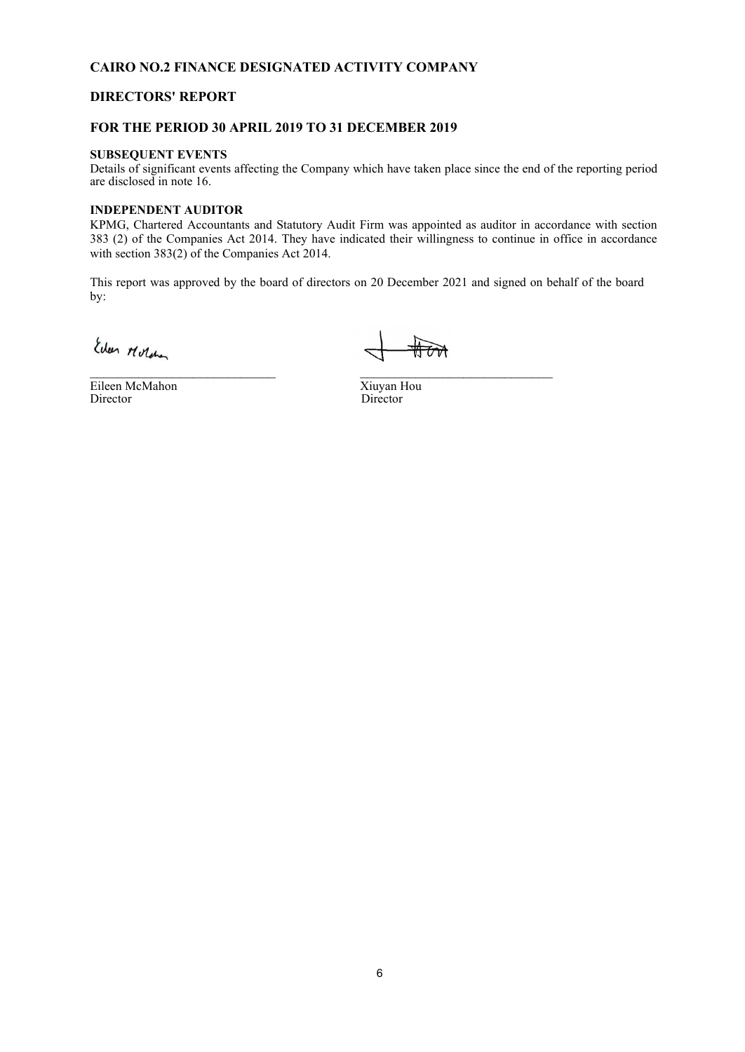## **DIRECTORS' REPORT**

#### **FOR THE PERIOD 30 APRIL 2019 TO 31 DECEMBER 2019**

#### **SUBSEQUENT EVENTS**

Details of significant events affecting the Company which have taken place since the end of the reporting period are disclosed in note 16.

#### **INDEPENDENT AUDITOR**

KPMG, Chartered Accountants and Statutory Audit Firm was appointed as auditor in accordance with section 383 (2) of the Companies Act 2014. They have indicated their willingness to continue in office in accordance with section 383(2) of the Companies Act 2014.

This report was approved by the board of directors on 20 December 2021 and signed on behalf of the board by:

Eileen McMahon Xiuyan Hou Director Director

\_\_\_\_\_\_\_\_\_\_\_\_\_\_\_\_\_\_\_\_\_\_\_\_\_\_\_ \_\_\_\_\_\_\_\_\_\_\_\_\_\_\_\_\_\_\_\_\_\_\_\_\_\_\_\_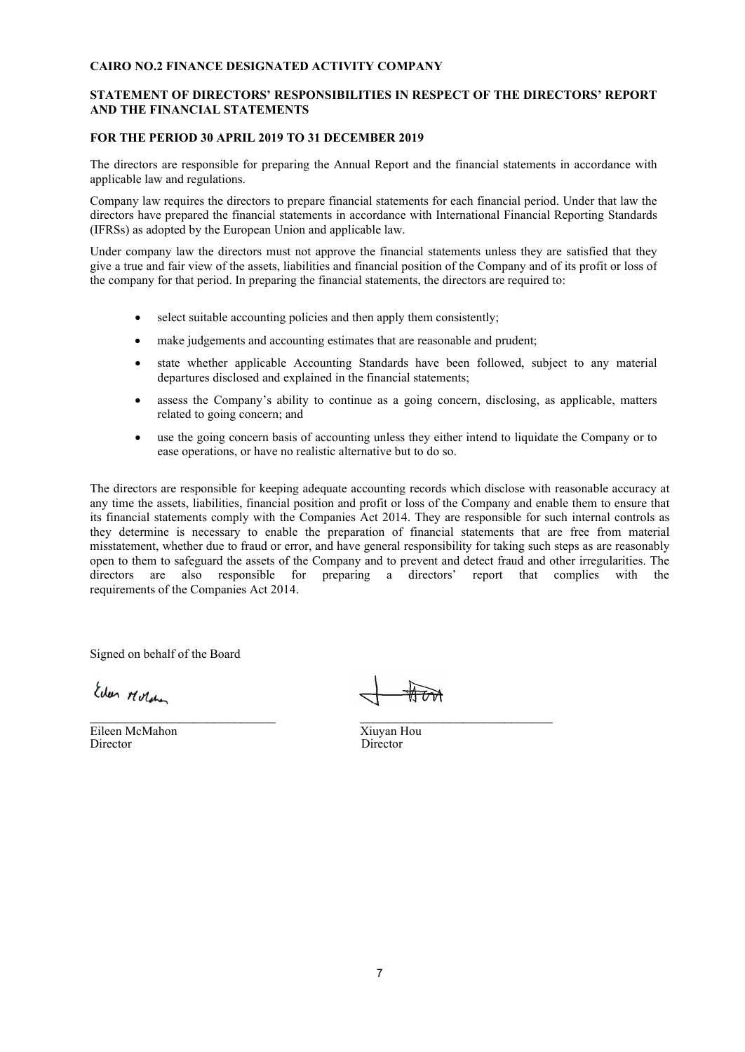#### **STATEMENT OF DIRECTORS' RESPONSIBILITIES IN RESPECT OF THE DIRECTORS' REPORT AND THE FINANCIAL STATEMENTS**

#### **FOR THE PERIOD 30 APRIL 2019 TO 31 DECEMBER 2019**

The directors are responsible for preparing the Annual Report and the financial statements in accordance with applicable law and regulations.

Company law requires the directors to prepare financial statements for each financial period. Under that law the directors have prepared the financial statements in accordance with International Financial Reporting Standards (IFRSs) as adopted by the European Union and applicable law.

Under company law the directors must not approve the financial statements unless they are satisfied that they give a true and fair view of the assets, liabilities and financial position of the Company and of its profit or loss of the company for that period. In preparing the financial statements, the directors are required to:

- select suitable accounting policies and then apply them consistently;
- make judgements and accounting estimates that are reasonable and prudent;
- state whether applicable Accounting Standards have been followed, subject to any material departures disclosed and explained in the financial statements;
- assess the Company's ability to continue as a going concern, disclosing, as applicable, matters related to going concern; and
- use the going concern basis of accounting unless they either intend to liquidate the Company or to ease operations, or have no realistic alternative but to do so.

The directors are responsible for keeping adequate accounting records which disclose with reasonable accuracy at any time the assets, liabilities, financial position and profit or loss of the Company and enable them to ensure that its financial statements comply with the Companies Act 2014. They are responsible for such internal controls as they determine is necessary to enable the preparation of financial statements that are free from material misstatement, whether due to fraud or error, and have general responsibility for taking such steps as are reasonably open to them to safeguard the assets of the Company and to prevent and detect fraud and other irregularities. The directors are also responsible for preparing a directors' report that complies with the requirements of the Companies Act 2014.

Signed on behalf of the Board

Eileen McMahon Xiuyan Hou<br>Director Director Director

\_\_\_\_\_\_\_\_\_\_\_\_\_\_\_\_\_\_\_\_\_\_\_\_\_\_\_ \_\_\_\_\_\_\_\_\_\_\_\_\_\_\_\_\_\_\_\_\_\_\_\_\_\_\_\_

Director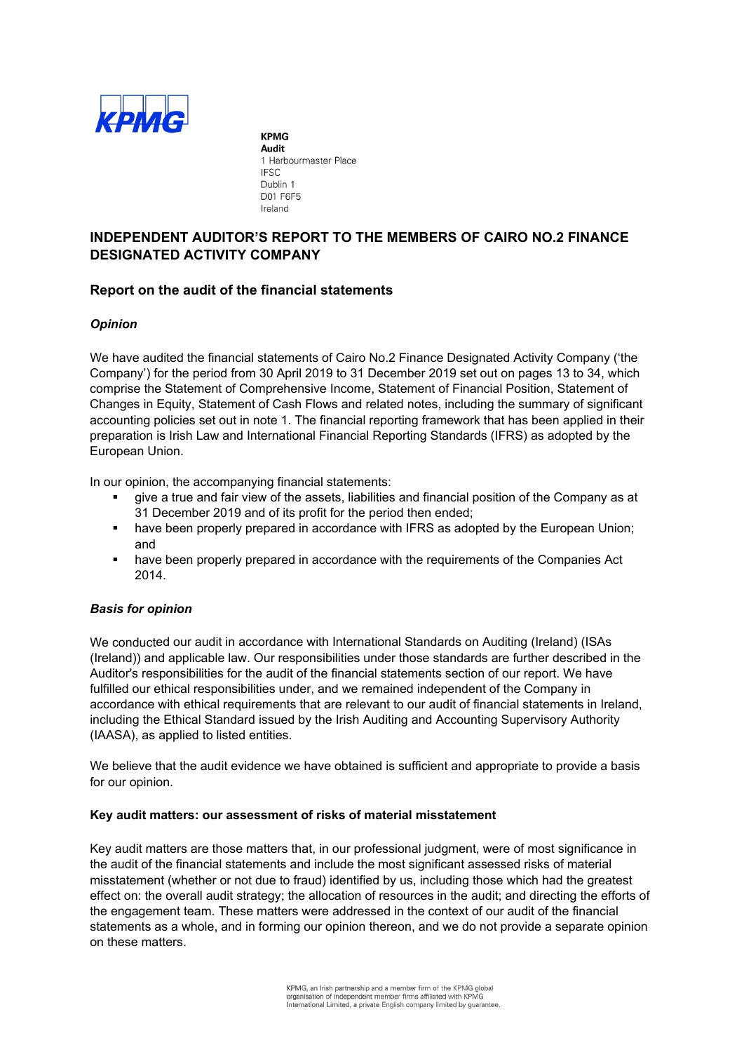

**KPMG Audit** 1 Harbourmaster Place **IFSC** Dublin 1 D01 F6F5 Ireland

## **INDEPENDENT AUDITOR'S REPORT TO THE MEMBERS OF CAIRO NO.2 FINANCE DESIGNATED ACTIVITY COMPANY**

## **Report on the audit of the financial statements**

#### *Opinion*

We have audited the financial statements of Cairo No.2 Finance Designated Activity Company ('the Company') for the period from 30 April 2019 to 31 December 2019 set out on pages 13 to 34, which comprise the Statement of Comprehensive Income, Statement of Financial Position, Statement of Changes in Equity, Statement of Cash Flows and related notes, including the summary of significant accounting policies set out in note 1. The financial reporting framework that has been applied in their preparation is Irish Law and International Financial Reporting Standards (IFRS) as adopted by the European Union.

In our opinion, the accompanying financial statements:

- give a true and fair view of the assets, liabilities and financial position of the Company as at 31 December 2019 and of its profit for the period then ended;
- **•** have been properly prepared in accordance with IFRS as adopted by the European Union; and
- **•** have been properly prepared in accordance with the requirements of the Companies Act 2014.

#### *Basis for opinion*

We conducted our audit in accordance with International Standards on Auditing (Ireland) (ISAs (Ireland)) and applicable law. Our responsibilities under those standards are further described in the Auditor's responsibilities for the audit of the financial statements section of our report. We have fulfilled our ethical responsibilities under, and we remained independent of the Company in accordance with ethical requirements that are relevant to our audit of financial statements in Ireland, including the Ethical Standard issued by the Irish Auditing and Accounting Supervisory Authority (IAASA), as applied to listed entities.

We believe that the audit evidence we have obtained is sufficient and appropriate to provide a basis for our opinion.

#### **Key audit matters: our assessment of risks of material misstatement**

Key audit matters are those matters that, in our professional judgment, were of most significance in the audit of the financial statements and include the most significant assessed risks of material misstatement (whether or not due to fraud) identified by us, including those which had the greatest effect on: the overall audit strategy; the allocation of resources in the audit; and directing the efforts of the engagement team. These matters were addressed in the context of our audit of the financial statements as a whole, and in forming our opinion thereon, and we do not provide a separate opinion on these matters.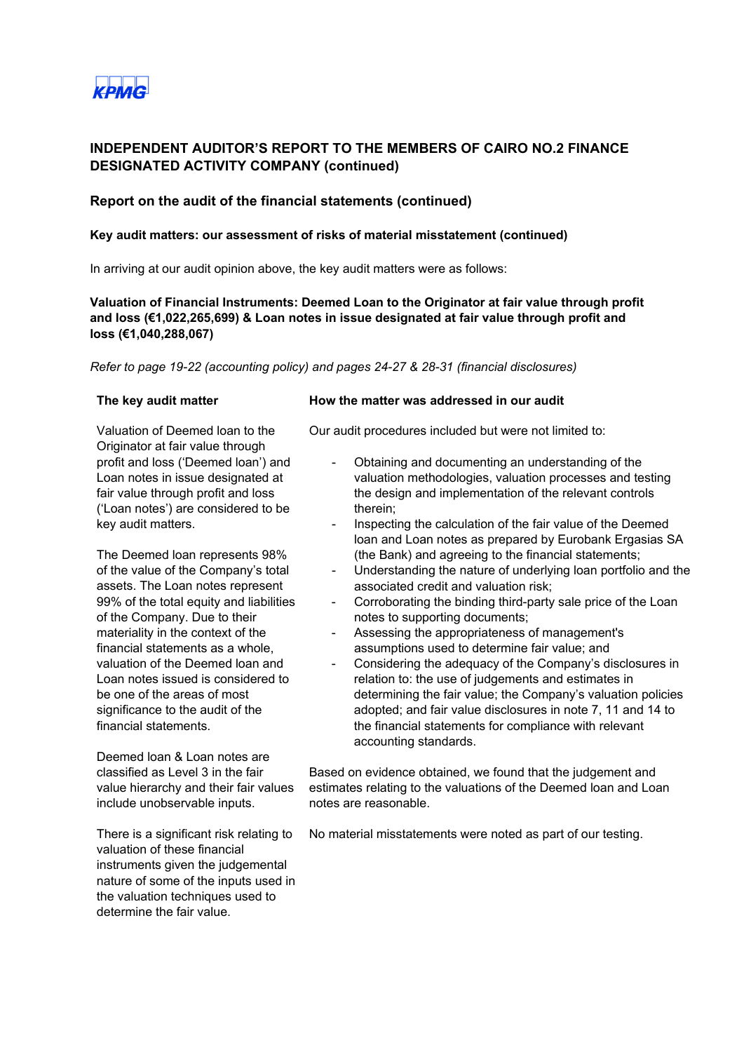

## **Report on the audit of the financial statements (continued)**

#### **Key audit matters: our assessment of risks of material misstatement (continued)**

In arriving at our audit opinion above, the key audit matters were as follows:

**Valuation of Financial Instruments: Deemed Loan to the Originator at fair value through profit and loss (€1,022,265,699) & Loan notes in issue designated at fair value through profit and loss (€1,040,288,067)**

*Refer to page 19-22 (accounting policy) and pages 24-27 & 28-31 (financial disclosures)*

Valuation of Deemed loan to the Originator at fair value through profit and loss ('Deemed loan') and Loan notes in issue designated at fair value through profit and loss ('Loan notes') are considered to be key audit matters.

The Deemed loan represents 98% of the value of the Company's total assets. The Loan notes represent 99% of the total equity and liabilities of the Company. Due to their materiality in the context of the financial statements as a whole, valuation of the Deemed loan and Loan notes issued is considered to be one of the areas of most significance to the audit of the financial statements.

Deemed loan & Loan notes are classified as Level 3 in the fair value hierarchy and their fair values include unobservable inputs.

There is a significant risk relating to valuation of these financial instruments given the judgemental nature of some of the inputs used in the valuation techniques used to determine the fair value.

#### **The key audit matter How the matter was addressed in our audit**

Our audit procedures included but were not limited to:

- Obtaining and documenting an understanding of the valuation methodologies, valuation processes and testing the design and implementation of the relevant controls therein;
- Inspecting the calculation of the fair value of the Deemed loan and Loan notes as prepared by Eurobank Ergasias SA (the Bank) and agreeing to the financial statements;
- Understanding the nature of underlying loan portfolio and the associated credit and valuation risk;
- Corroborating the binding third-party sale price of the Loan notes to supporting documents;
- Assessing the appropriateness of management's assumptions used to determine fair value; and
- Considering the adequacy of the Company's disclosures in relation to: the use of judgements and estimates in determining the fair value; the Company's valuation policies adopted; and fair value disclosures in note 7, 11 and 14 to the financial statements for compliance with relevant accounting standards.

Based on evidence obtained, we found that the judgement and estimates relating to the valuations of the Deemed loan and Loan notes are reasonable.

No material misstatements were noted as part of our testing.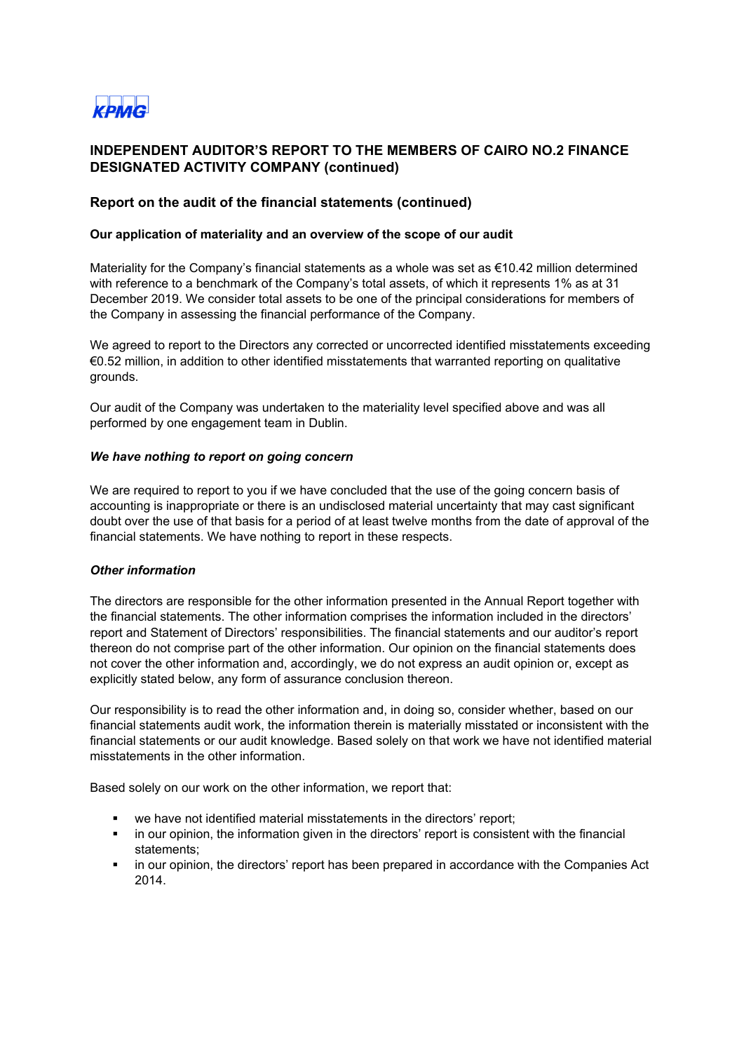

## **Report on the audit of the financial statements (continued)**

#### **Our application of materiality and an overview of the scope of our audit**

Materiality for the Company's financial statements as a whole was set as €10.42 million determined with reference to a benchmark of the Company's total assets, of which it represents 1% as at 31 December 2019. We consider total assets to be one of the principal considerations for members of the Company in assessing the financial performance of the Company.

We agreed to report to the Directors any corrected or uncorrected identified misstatements exceeding €0.52 million, in addition to other identified misstatements that warranted reporting on qualitative grounds.

Our audit of the Company was undertaken to the materiality level specified above and was all performed by one engagement team in Dublin.

#### *We have nothing to report on going concern*

We are required to report to you if we have concluded that the use of the going concern basis of accounting is inappropriate or there is an undisclosed material uncertainty that may cast significant doubt over the use of that basis for a period of at least twelve months from the date of approval of the financial statements. We have nothing to report in these respects.

#### *Other information*

The directors are responsible for the other information presented in the Annual Report together with the financial statements. The other information comprises the information included in the directors' report and Statement of Directors' responsibilities. The financial statements and our auditor's report thereon do not comprise part of the other information. Our opinion on the financial statements does not cover the other information and, accordingly, we do not express an audit opinion or, except as explicitly stated below, any form of assurance conclusion thereon.

Our responsibility is to read the other information and, in doing so, consider whether, based on our financial statements audit work, the information therein is materially misstated or inconsistent with the financial statements or our audit knowledge. Based solely on that work we have not identified material misstatements in the other information.

Based solely on our work on the other information, we report that:

- we have not identified material misstatements in the directors' report;
- in our opinion, the information given in the directors' report is consistent with the financial statements;
- in our opinion, the directors' report has been prepared in accordance with the Companies Act 2014.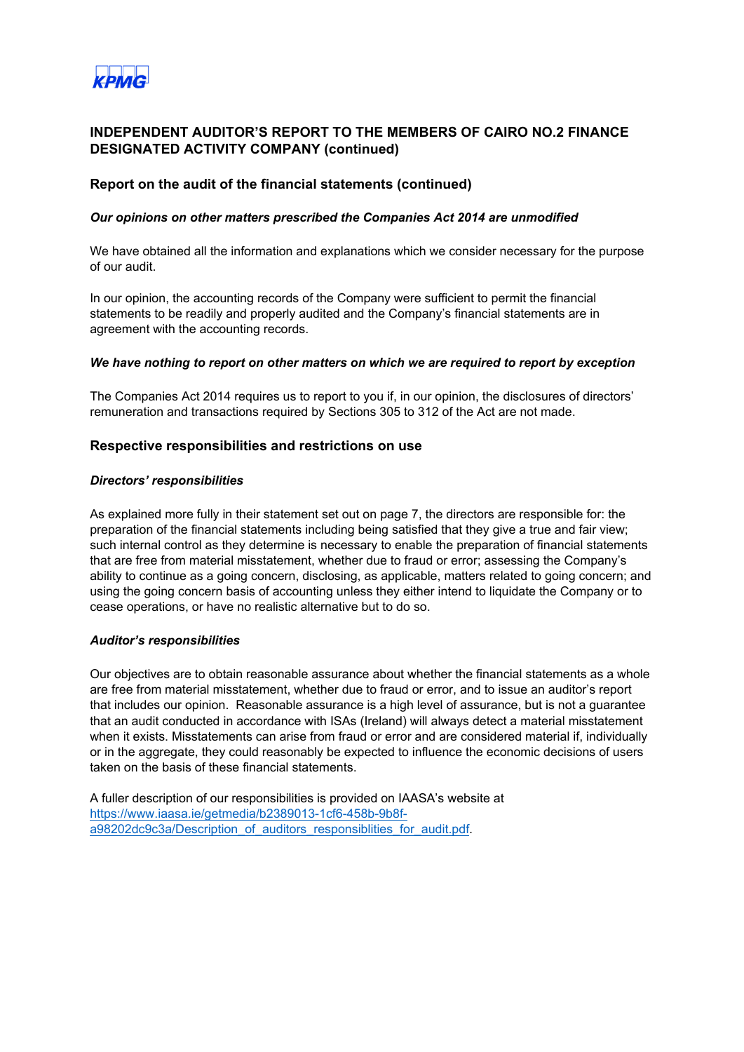

#### **Report on the audit of the financial statements (continued)**

#### *Our opinions on other matters prescribed the Companies Act 2014 are unmodified*

We have obtained all the information and explanations which we consider necessary for the purpose of our audit.

In our opinion, the accounting records of the Company were sufficient to permit the financial statements to be readily and properly audited and the Company's financial statements are in agreement with the accounting records.

#### *We have nothing to report on other matters on which we are required to report by exception*

The Companies Act 2014 requires us to report to you if, in our opinion, the disclosures of directors' remuneration and transactions required by Sections 305 to 312 of the Act are not made.

#### **Respective responsibilities and restrictions on use**

#### *Directors' responsibilities*

As explained more fully in their statement set out on page 7, the directors are responsible for: the preparation of the financial statements including being satisfied that they give a true and fair view; such internal control as they determine is necessary to enable the preparation of financial statements that are free from material misstatement, whether due to fraud or error; assessing the Company's ability to continue as a going concern, disclosing, as applicable, matters related to going concern; and using the going concern basis of accounting unless they either intend to liquidate the Company or to cease operations, or have no realistic alternative but to do so.

#### *Auditor's responsibilities*

Our objectives are to obtain reasonable assurance about whether the financial statements as a whole are free from material misstatement, whether due to fraud or error, and to issue an auditor's report that includes our opinion. Reasonable assurance is a high level of assurance, but is not a guarantee that an audit conducted in accordance with ISAs (Ireland) will always detect a material misstatement when it exists. Misstatements can arise from fraud or error and are considered material if, individually or in the aggregate, they could reasonably be expected to influence the economic decisions of users taken on the basis of these financial statements.

A fuller description of our responsibilities is provided on IAASA's website at [https://www.iaasa.ie/getmedia/b2389013-1cf6-458b-9b8f](https://www.iaasa.ie/getmedia/b2389013-1cf6-458b-9b8f-a98202dc9c3a/Description_of_auditors_responsiblities_for_audit.pdf)[a98202dc9c3a/Description\\_of\\_auditors\\_responsiblities\\_for\\_audit.pdf.](https://www.iaasa.ie/getmedia/b2389013-1cf6-458b-9b8f-a98202dc9c3a/Description_of_auditors_responsiblities_for_audit.pdf)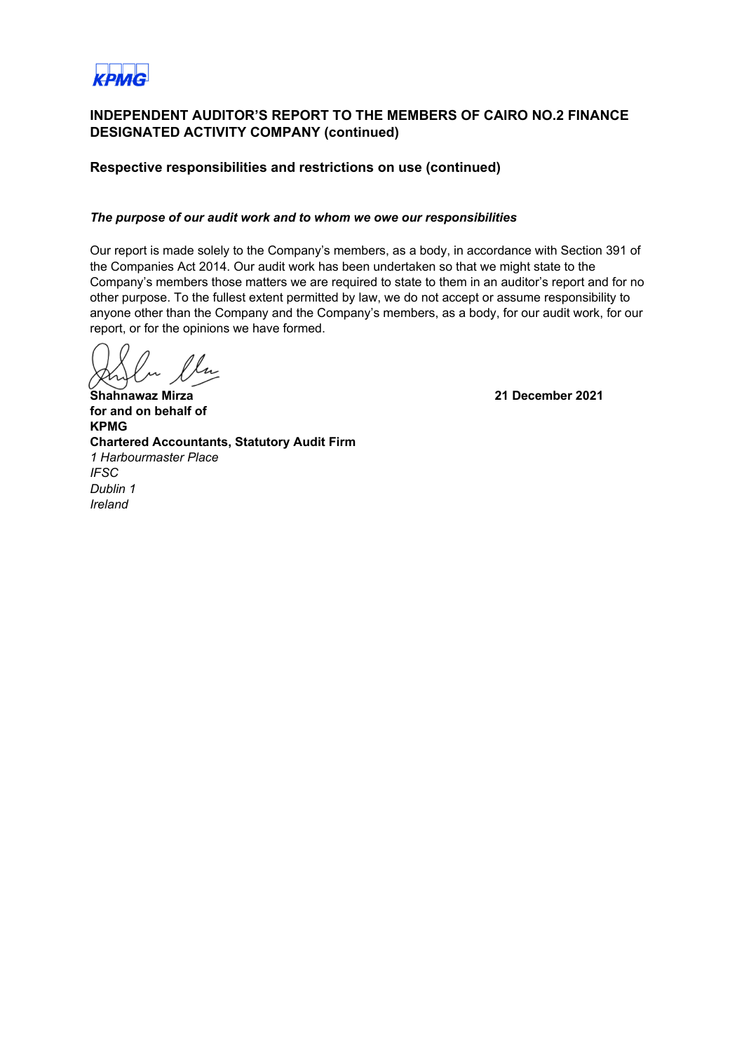

## **Respective responsibilities and restrictions on use (continued)**

## *The purpose of our audit work and to whom we owe our responsibilities*

Our report is made solely to the Company's members, as a body, in accordance with Section 391 of the Companies Act 2014. Our audit work has been undertaken so that we might state to the Company's members those matters we are required to state to them in an auditor's report and for no other purpose. To the fullest extent permitted by law, we do not accept or assume responsibility to anyone other than the Company and the Company's members, as a body, for our audit work, for our report, or for the opinions we have formed.

**Shahnawaz Mirza 21 December 2021** 

**for and on behalf of KPMG Chartered Accountants, Statutory Audit Firm** *1 Harbourmaster Place IFSC Dublin 1 Ireland*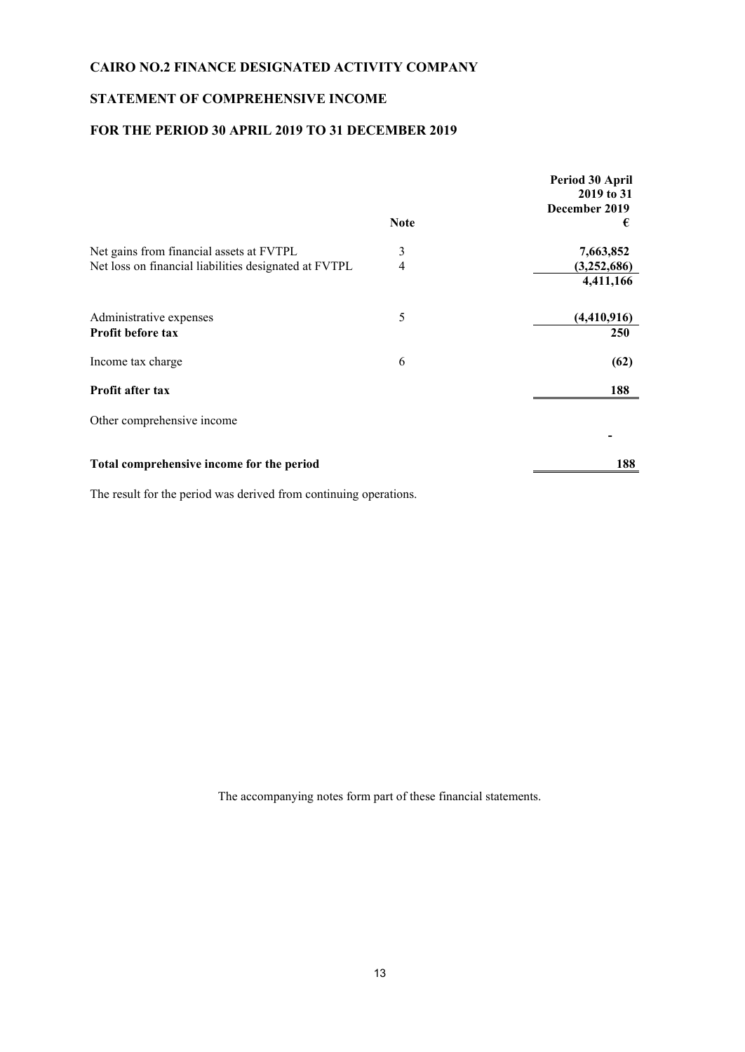## **STATEMENT OF COMPREHENSIVE INCOME**

## **FOR THE PERIOD 30 APRIL 2019 TO 31 DECEMBER 2019**

|                                                       | <b>Note</b>    | Period 30 April<br>2019 to 31<br>December 2019<br>€ |
|-------------------------------------------------------|----------------|-----------------------------------------------------|
| Net gains from financial assets at FVTPL              | 3              | 7,663,852                                           |
| Net loss on financial liabilities designated at FVTPL | $\overline{4}$ | (3,252,686)                                         |
|                                                       |                | 4,411,166                                           |
| Administrative expenses                               | 5              | (4,410,916)                                         |
| Profit before tax                                     |                | <b>250</b>                                          |
| Income tax charge                                     | 6              | (62)                                                |
| Profit after tax                                      |                | 188                                                 |
| Other comprehensive income                            |                |                                                     |
| Total comprehensive income for the period             |                | 188                                                 |

The result for the period was derived from continuing operations.

The accompanying notes form part of these financial statements.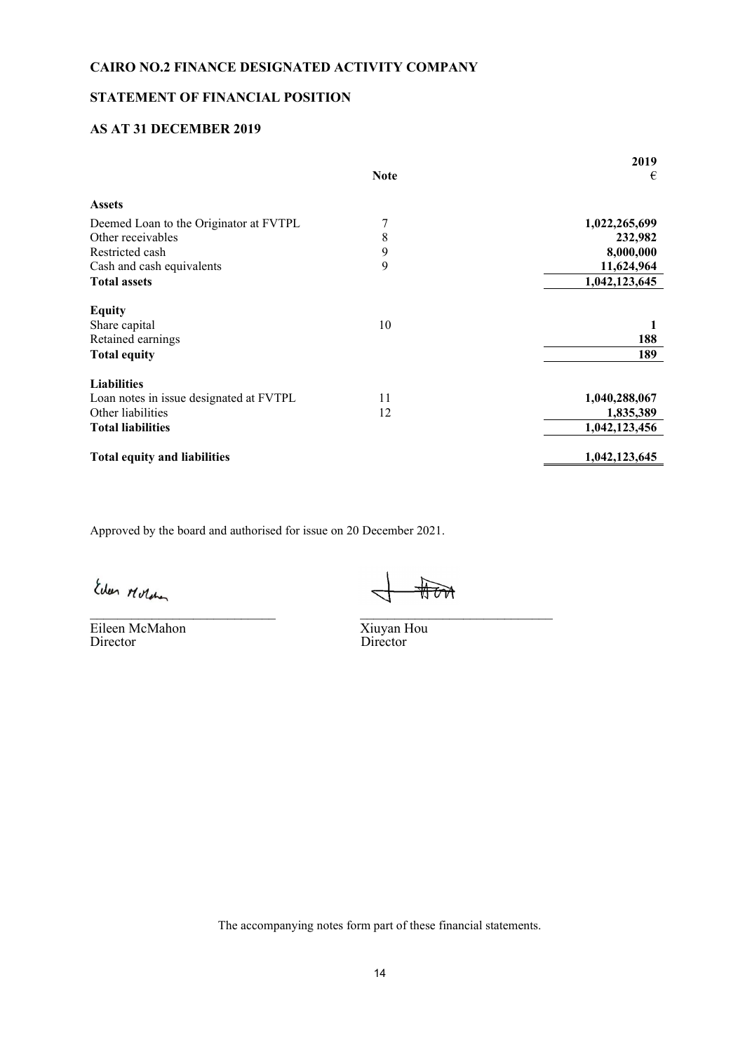## **STATEMENT OF FINANCIAL POSITION**

## **AS AT 31 DECEMBER 2019**

|                                         |             | 2019          |
|-----------------------------------------|-------------|---------------|
|                                         | <b>Note</b> | €             |
| <b>Assets</b>                           |             |               |
| Deemed Loan to the Originator at FVTPL  | 7           | 1,022,265,699 |
| Other receivables                       | 8           | 232,982       |
| Restricted cash                         | 9           | 8,000,000     |
| Cash and cash equivalents               | 9           | 11,624,964    |
| <b>Total assets</b>                     |             | 1,042,123,645 |
| <b>Equity</b>                           |             |               |
| Share capital                           | 10          |               |
| Retained earnings                       |             | 188           |
| <b>Total equity</b>                     |             | 189           |
| <b>Liabilities</b>                      |             |               |
| Loan notes in issue designated at FVTPL | 11          | 1,040,288,067 |
| Other liabilities                       | 12          | 1,835,389     |
| <b>Total liabilities</b>                |             | 1,042,123,456 |
| <b>Total equity and liabilities</b>     |             | 1,042,123,645 |

Approved by the board and authorised for issue on 20 December 2021.

Eileen McMahon<br>Director

\_\_\_\_\_\_\_\_\_\_\_\_\_\_\_\_\_\_\_\_\_\_\_\_\_\_\_ \_\_\_\_\_\_\_\_\_\_\_\_\_\_\_\_\_\_\_\_\_\_\_\_\_\_\_\_

Xiuyan Hou<br>Director

The accompanying notes form part of these financial statements.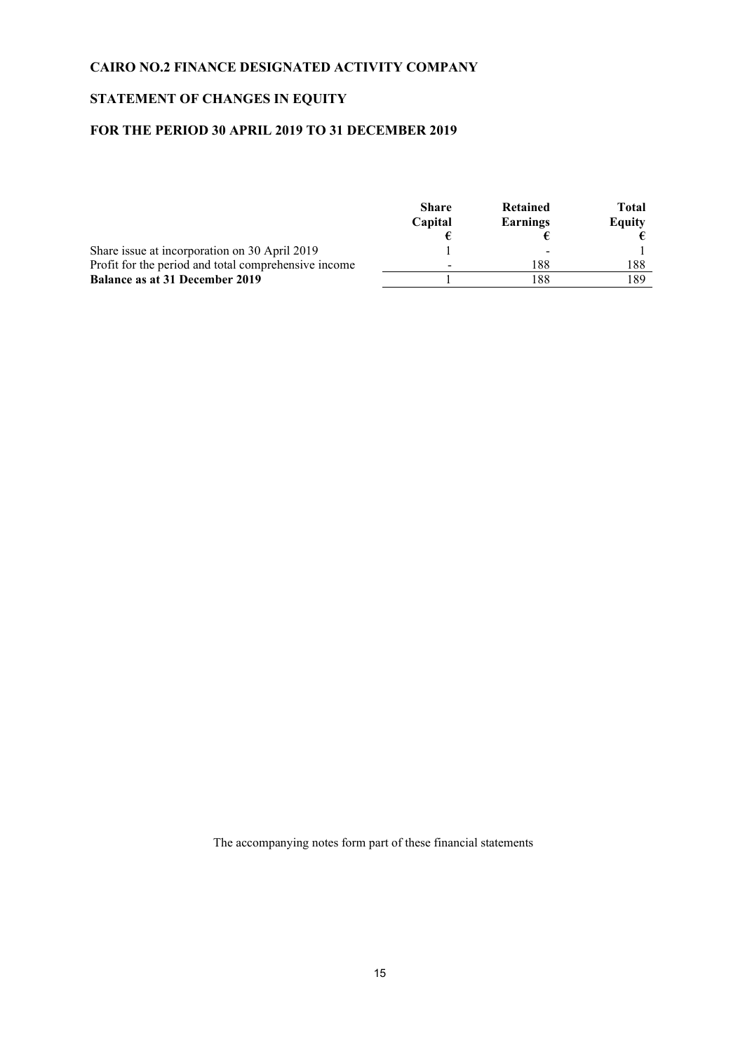## **STATEMENT OF CHANGES IN EQUITY**

## **FOR THE PERIOD 30 APRIL 2019 TO 31 DECEMBER 2019**

|                                                      | <b>Share</b><br>Capital | Retained |     | Total<br>Equity |
|------------------------------------------------------|-------------------------|----------|-----|-----------------|
|                                                      |                         | Earnings |     |                 |
|                                                      |                         |          |     |                 |
| Share issue at incorporation on 30 April 2019        |                         | ۰        |     |                 |
| Profit for the period and total comprehensive income |                         | 188      | 188 |                 |
| <b>Balance as at 31 December 2019</b>                |                         | 188      | 189 |                 |

The accompanying notes form part of these financial statements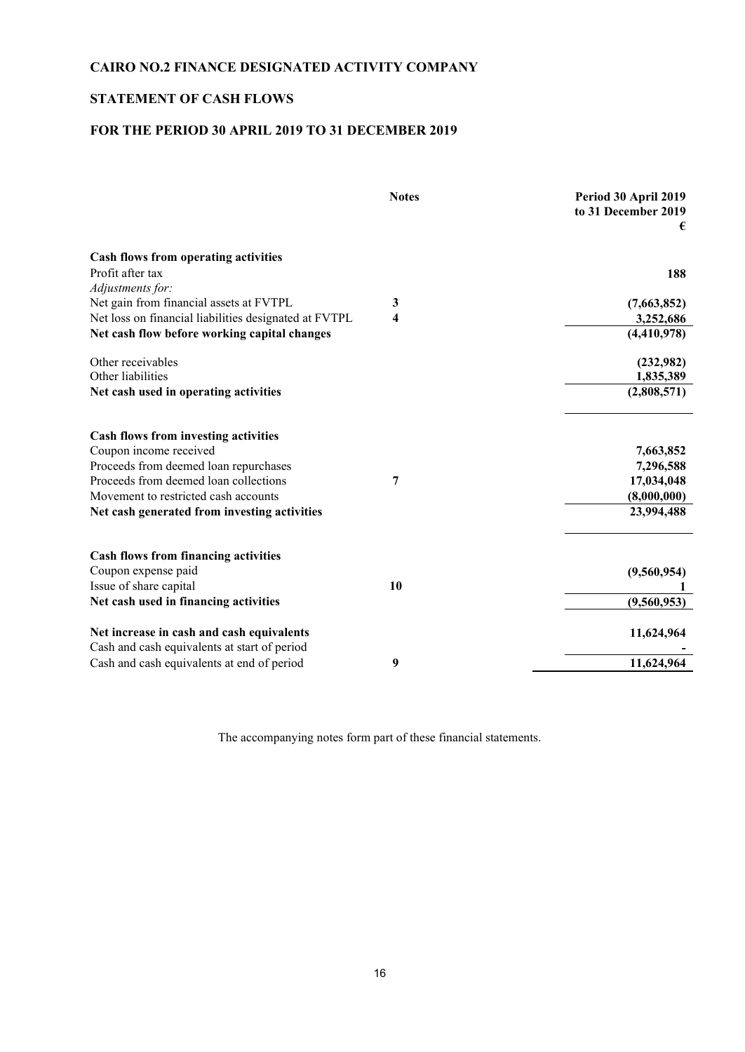## **STATEMENT OF CASH FLOWS**

## **FOR THE PERIOD 30 APRIL 2019 TO 31 DECEMBER 2019**

|                                                       | <b>Notes</b> | Period 30 April 2019<br>to 31 December 2019<br>€ |
|-------------------------------------------------------|--------------|--------------------------------------------------|
| Cash flows from operating activities                  |              |                                                  |
| Profit after tax                                      |              | 188                                              |
| Adjustments for:                                      |              |                                                  |
| Net gain from financial assets at FVTPL               | 3            | (7,663,852)                                      |
| Net loss on financial liabilities designated at FVTPL | 4            | 3,252,686                                        |
| Net cash flow before working capital changes          |              | (4,410,978)                                      |
| Other receivables                                     |              | (232,982)                                        |
| Other liabilities                                     |              | 1,835,389                                        |
| Net cash used in operating activities                 |              | (2,808,571)                                      |
| Cash flows from investing activities                  |              |                                                  |
| Coupon income received                                |              | 7,663,852                                        |
| Proceeds from deemed loan repurchases                 |              | 7,296,588                                        |
| Proceeds from deemed loan collections                 | 7            | 17,034,048                                       |
| Movement to restricted cash accounts                  |              | (8,000,000)                                      |
| Net cash generated from investing activities          |              | 23,994,488                                       |
| <b>Cash flows from financing activities</b>           |              |                                                  |
| Coupon expense paid                                   |              | (9,560,954)                                      |
| Issue of share capital                                | 10           |                                                  |
| Net cash used in financing activities                 |              | (9,560,953)                                      |
|                                                       |              |                                                  |
| Net increase in cash and cash equivalents             |              | 11,624,964                                       |
| Cash and cash equivalents at start of period          |              |                                                  |
| Cash and cash equivalents at end of period            | 9            | 11,624,964                                       |

The accompanying notes form part of these financial statements.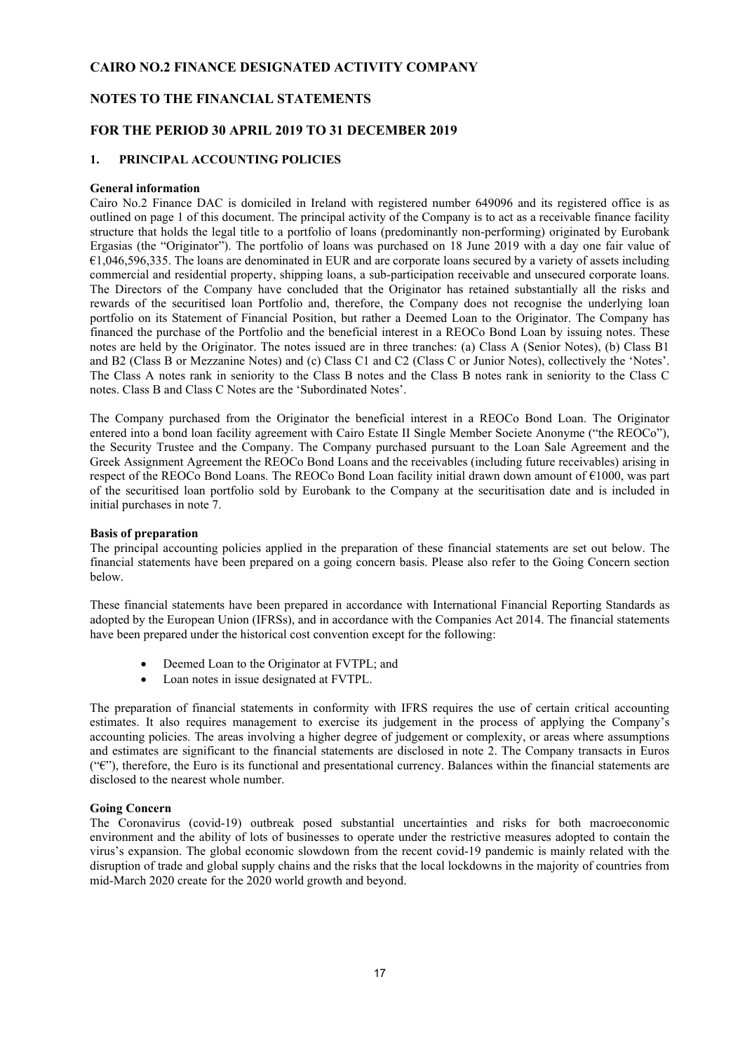#### **NOTES TO THE FINANCIAL STATEMENTS**

#### **FOR THE PERIOD 30 APRIL 2019 TO 31 DECEMBER 2019**

#### **1. PRINCIPAL ACCOUNTING POLICIES**

#### **General information**

Cairo No.2 Finance DAC is domiciled in Ireland with registered number 649096 and its registered office is as outlined on page 1 of this document. The principal activity of the Company is to act as a receivable finance facility structure that holds the legal title to a portfolio of loans (predominantly non-performing) originated by Eurobank Ergasias (the "Originator"). The portfolio of loans was purchased on 18 June 2019 with a day one fair value of €1,046,596,335. The loans are denominated in EUR and are corporate loans secured by a variety of assets including commercial and residential property, shipping loans, a sub-participation receivable and unsecured corporate loans. The Directors of the Company have concluded that the Originator has retained substantially all the risks and rewards of the securitised loan Portfolio and, therefore, the Company does not recognise the underlying loan portfolio on its Statement of Financial Position, but rather a Deemed Loan to the Originator. The Company has financed the purchase of the Portfolio and the beneficial interest in a REOCo Bond Loan by issuing notes. These notes are held by the Originator. The notes issued are in three tranches: (a) Class A (Senior Notes), (b) Class B1 and B2 (Class B or Mezzanine Notes) and (c) Class C1 and C2 (Class C or Junior Notes), collectively the 'Notes'. The Class A notes rank in seniority to the Class B notes and the Class B notes rank in seniority to the Class C notes. Class B and Class C Notes are the 'Subordinated Notes'.

The Company purchased from the Originator the beneficial interest in a REOCo Bond Loan. The Originator entered into a bond loan facility agreement with Cairo Estate II Single Member Societe Anonyme ("the REOCo"), the Security Trustee and the Company. The Company purchased pursuant to the Loan Sale Agreement and the Greek Assignment Agreement the REOCo Bond Loans and the receivables (including future receivables) arising in respect of the REOCo Bond Loans. The REOCo Bond Loan facility initial drawn down amount of €1000, was part of the securitised loan portfolio sold by Eurobank to the Company at the securitisation date and is included in initial purchases in note 7.

#### **Basis of preparation**

The principal accounting policies applied in the preparation of these financial statements are set out below. The financial statements have been prepared on a going concern basis. Please also refer to the Going Concern section below.

These financial statements have been prepared in accordance with International Financial Reporting Standards as adopted by the European Union (IFRSs), and in accordance with the Companies Act 2014. The financial statements have been prepared under the historical cost convention except for the following:

- Deemed Loan to the Originator at FVTPL; and
- Loan notes in issue designated at FVTPL.

The preparation of financial statements in conformity with IFRS requires the use of certain critical accounting estimates. It also requires management to exercise its judgement in the process of applying the Company's accounting policies. The areas involving a higher degree of judgement or complexity, or areas where assumptions and estimates are significant to the financial statements are disclosed in note 2. The Company transacts in Euros  $(\hat{\mathbf{F}})$ , therefore, the Euro is its functional and presentational currency. Balances within the financial statements are disclosed to the nearest whole number.

#### **Going Concern**

The Coronavirus (covid-19) outbreak posed substantial uncertainties and risks for both macroeconomic environment and the ability of lots of businesses to operate under the restrictive measures adopted to contain the virus's expansion. The global economic slowdown from the recent covid-19 pandemic is mainly related with the disruption of trade and global supply chains and the risks that the local lockdowns in the majority of countries from mid-March 2020 create for the 2020 world growth and beyond.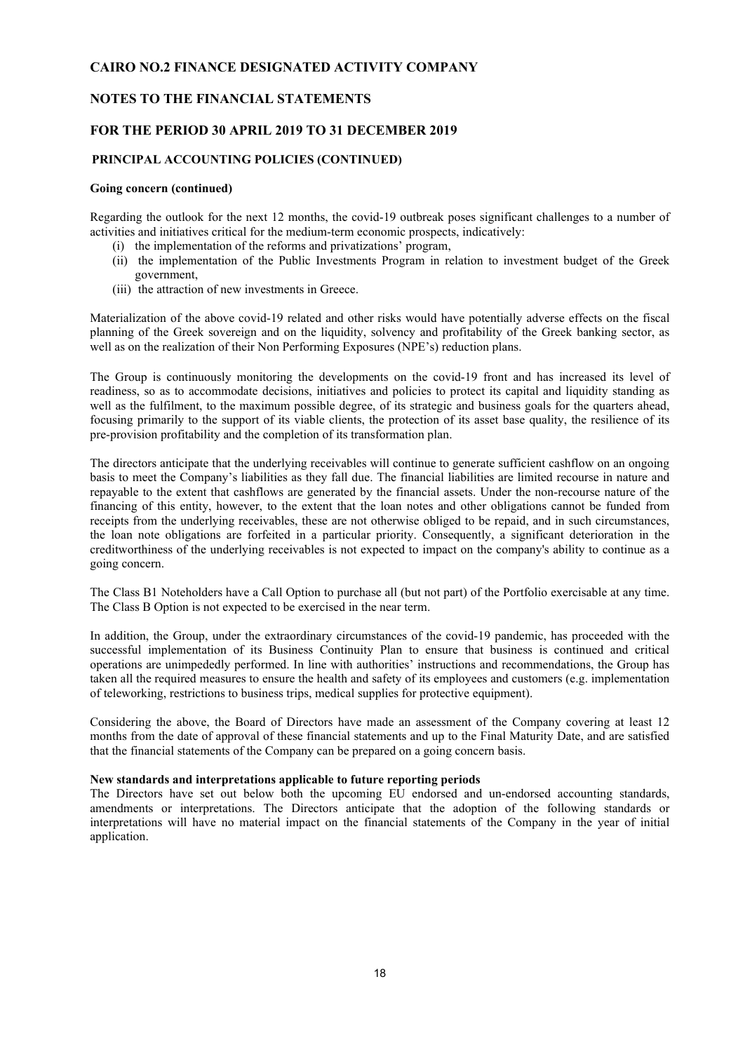#### **NOTES TO THE FINANCIAL STATEMENTS**

#### **FOR THE PERIOD 30 APRIL 2019 TO 31 DECEMBER 2019**

#### **PRINCIPAL ACCOUNTING POLICIES (CONTINUED)**

#### **Going concern (continued)**

Regarding the outlook for the next 12 months, the covid-19 outbreak poses significant challenges to a number of activities and initiatives critical for the medium-term economic prospects, indicatively:

- (i) the implementation of the reforms and privatizations' program,
- (ii) the implementation of the Public Investments Program in relation to investment budget of the Greek government,
- (iii) the attraction of new investments in Greece.

Materialization of the above covid-19 related and other risks would have potentially adverse effects on the fiscal planning of the Greek sovereign and on the liquidity, solvency and profitability of the Greek banking sector, as well as on the realization of their Non Performing Exposures (NPE's) reduction plans.

The Group is continuously monitoring the developments on the covid-19 front and has increased its level of readiness, so as to accommodate decisions, initiatives and policies to protect its capital and liquidity standing as well as the fulfilment, to the maximum possible degree, of its strategic and business goals for the quarters ahead, focusing primarily to the support of its viable clients, the protection of its asset base quality, the resilience of its pre-provision profitability and the completion of its transformation plan.

The directors anticipate that the underlying receivables will continue to generate sufficient cashflow on an ongoing basis to meet the Company's liabilities as they fall due. The financial liabilities are limited recourse in nature and repayable to the extent that cashflows are generated by the financial assets. Under the non-recourse nature of the financing of this entity, however, to the extent that the loan notes and other obligations cannot be funded from receipts from the underlying receivables, these are not otherwise obliged to be repaid, and in such circumstances, the loan note obligations are forfeited in a particular priority. Consequently, a significant deterioration in the creditworthiness of the underlying receivables is not expected to impact on the company's ability to continue as a going concern.

The Class B1 Noteholders have a Call Option to purchase all (but not part) of the Portfolio exercisable at any time. The Class B Option is not expected to be exercised in the near term.

In addition, the Group, under the extraordinary circumstances of the covid-19 pandemic, has proceeded with the successful implementation of its Business Continuity Plan to ensure that business is continued and critical operations are unimpededly performed. In line with authorities' instructions and recommendations, the Group has taken all the required measures to ensure the health and safety of its employees and customers (e.g. implementation of teleworking, restrictions to business trips, medical supplies for protective equipment).

Considering the above, the Board of Directors have made an assessment of the Company covering at least 12 months from the date of approval of these financial statements and up to the Final Maturity Date, and are satisfied that the financial statements of the Company can be prepared on a going concern basis.

#### **New standards and interpretations applicable to future reporting periods**

The Directors have set out below both the upcoming EU endorsed and un-endorsed accounting standards, amendments or interpretations. The Directors anticipate that the adoption of the following standards or interpretations will have no material impact on the financial statements of the Company in the year of initial application.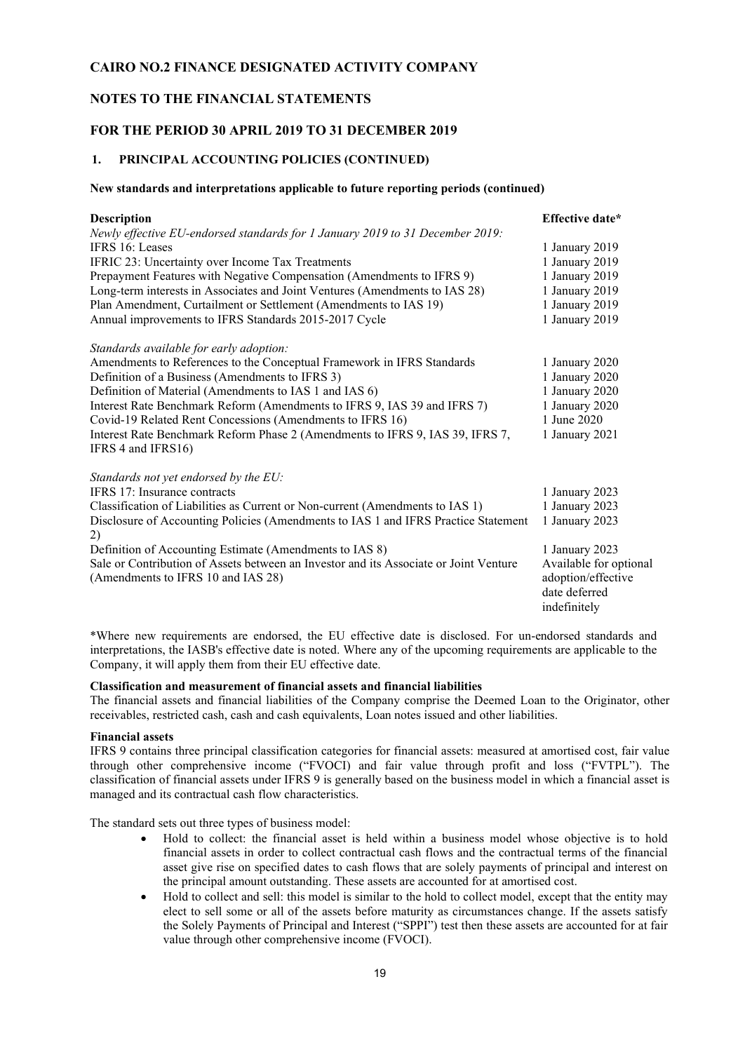#### **NOTES TO THE FINANCIAL STATEMENTS**

#### **FOR THE PERIOD 30 APRIL 2019 TO 31 DECEMBER 2019**

### **1. PRINCIPAL ACCOUNTING POLICIES (CONTINUED)**

#### **New standards and interpretations applicable to future reporting periods (continued)**

| <b>Description</b>                                                                       | Effective date*        |
|------------------------------------------------------------------------------------------|------------------------|
| Newly effective EU-endorsed standards for 1 January 2019 to 31 December 2019:            |                        |
| IFRS 16: Leases                                                                          | 1 January 2019         |
| IFRIC 23: Uncertainty over Income Tax Treatments                                         | 1 January 2019         |
| Prepayment Features with Negative Compensation (Amendments to IFRS 9)                    | 1 January 2019         |
| Long-term interests in Associates and Joint Ventures (Amendments to IAS 28)              | 1 January 2019         |
| Plan Amendment, Curtailment or Settlement (Amendments to IAS 19)                         | 1 January 2019         |
| Annual improvements to IFRS Standards 2015-2017 Cycle                                    | 1 January 2019         |
| Standards available for early adoption:                                                  |                        |
| Amendments to References to the Conceptual Framework in IFRS Standards                   | 1 January 2020         |
| Definition of a Business (Amendments to IFRS 3)                                          | 1 January 2020         |
| Definition of Material (Amendments to IAS 1 and IAS 6)                                   | 1 January 2020         |
| Interest Rate Benchmark Reform (Amendments to IFRS 9, IAS 39 and IFRS 7)                 | 1 January 2020         |
| Covid-19 Related Rent Concessions (Amendments to IFRS 16)                                | 1 June 2020            |
| Interest Rate Benchmark Reform Phase 2 (Amendments to IFRS 9, IAS 39, IFRS 7,            | 1 January 2021         |
| IFRS 4 and IFRS16)                                                                       |                        |
| Standards not yet endorsed by the EU:                                                    |                        |
| IFRS 17: Insurance contracts                                                             | 1 January 2023         |
| Classification of Liabilities as Current or Non-current (Amendments to IAS 1)            | 1 January 2023         |
| Disclosure of Accounting Policies (Amendments to IAS 1 and IFRS Practice Statement<br>2) | 1 January 2023         |
| Definition of Accounting Estimate (Amendments to IAS 8)                                  | 1 January 2023         |
| Sale or Contribution of Assets between an Investor and its Associate or Joint Venture    | Available for optional |
| (Amendments to IFRS 10 and IAS 28)                                                       | adoption/effective     |
|                                                                                          | date deferred          |
|                                                                                          | indefinitely           |

\*Where new requirements are endorsed, the EU effective date is disclosed. For un-endorsed standards and interpretations, the IASB's effective date is noted. Where any of the upcoming requirements are applicable to the Company, it will apply them from their EU effective date.

#### **Classification and measurement of financial assets and financial liabilities**

The financial assets and financial liabilities of the Company comprise the Deemed Loan to the Originator, other receivables, restricted cash, cash and cash equivalents, Loan notes issued and other liabilities.

#### **Financial assets**

IFRS 9 contains three principal classification categories for financial assets: measured at amortised cost, fair value through other comprehensive income ("FVOCI) and fair value through profit and loss ("FVTPL"). The classification of financial assets under IFRS 9 is generally based on the business model in which a financial asset is managed and its contractual cash flow characteristics.

The standard sets out three types of business model:

- Hold to collect: the financial asset is held within a business model whose objective is to hold financial assets in order to collect contractual cash flows and the contractual terms of the financial asset give rise on specified dates to cash flows that are solely payments of principal and interest on the principal amount outstanding. These assets are accounted for at amortised cost.
- Hold to collect and sell: this model is similar to the hold to collect model, except that the entity may elect to sell some or all of the assets before maturity as circumstances change. If the assets satisfy the Solely Payments of Principal and Interest ("SPPI") test then these assets are accounted for at fair value through other comprehensive income (FVOCI).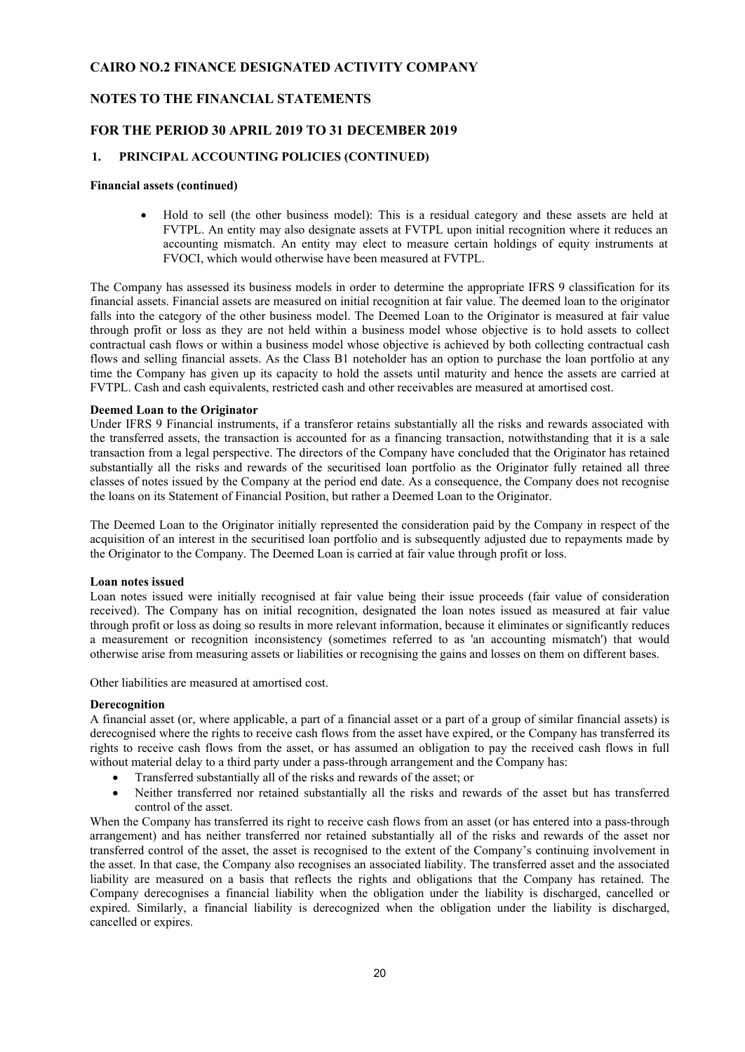#### **NOTES TO THE FINANCIAL STATEMENTS**

#### **FOR THE PERIOD 30 APRIL 2019 TO 31 DECEMBER 2019**

#### **1. PRINCIPAL ACCOUNTING POLICIES (CONTINUED)**

#### **Financial assets (continued)**

• Hold to sell (the other business model): This is a residual category and these assets are held at FVTPL. An entity may also designate assets at FVTPL upon initial recognition where it reduces an accounting mismatch. An entity may elect to measure certain holdings of equity instruments at FVOCI, which would otherwise have been measured at FVTPL.

The Company has assessed its business models in order to determine the appropriate IFRS 9 classification for its financial assets. Financial assets are measured on initial recognition at fair value. The deemed loan to the originator falls into the category of the other business model. The Deemed Loan to the Originator is measured at fair value through profit or loss as they are not held within a business model whose objective is to hold assets to collect contractual cash flows or within a business model whose objective is achieved by both collecting contractual cash flows and selling financial assets. As the Class B1 noteholder has an option to purchase the loan portfolio at any time the Company has given up its capacity to hold the assets until maturity and hence the assets are carried at FVTPL. Cash and cash equivalents, restricted cash and other receivables are measured at amortised cost.

#### **Deemed Loan to the Originator**

Under IFRS 9 Financial instruments, if a transferor retains substantially all the risks and rewards associated with the transferred assets, the transaction is accounted for as a financing transaction, notwithstanding that it is a sale transaction from a legal perspective. The directors of the Company have concluded that the Originator has retained substantially all the risks and rewards of the securitised loan portfolio as the Originator fully retained all three classes of notes issued by the Company at the period end date. As a consequence, the Company does not recognise the loans on its Statement of Financial Position, but rather a Deemed Loan to the Originator.

The Deemed Loan to the Originator initially represented the consideration paid by the Company in respect of the acquisition of an interest in the securitised loan portfolio and is subsequently adjusted due to repayments made by the Originator to the Company. The Deemed Loan is carried at fair value through profit or loss.

#### **Loan notes issued**

Loan notes issued were initially recognised at fair value being their issue proceeds (fair value of consideration received). The Company has on initial recognition, designated the loan notes issued as measured at fair value through profit or loss as doing so results in more relevant information, because it eliminates or significantly reduces a measurement or recognition inconsistency (sometimes referred to as 'an accounting mismatch') that would otherwise arise from measuring assets or liabilities or recognising the gains and losses on them on different bases.

Other liabilities are measured at amortised cost.

#### **Derecognition**

A financial asset (or, where applicable, a part of a financial asset or a part of a group of similar financial assets) is derecognised where the rights to receive cash flows from the asset have expired, or the Company has transferred its rights to receive cash flows from the asset, or has assumed an obligation to pay the received cash flows in full without material delay to a third party under a pass-through arrangement and the Company has:

- Transferred substantially all of the risks and rewards of the asset; or
- Neither transferred nor retained substantially all the risks and rewards of the asset but has transferred control of the asset.

When the Company has transferred its right to receive cash flows from an asset (or has entered into a pass-through arrangement) and has neither transferred nor retained substantially all of the risks and rewards of the asset nor transferred control of the asset, the asset is recognised to the extent of the Company's continuing involvement in the asset. In that case, the Company also recognises an associated liability. The transferred asset and the associated liability are measured on a basis that reflects the rights and obligations that the Company has retained. The Company derecognises a financial liability when the obligation under the liability is discharged, cancelled or expired. Similarly, a financial liability is derecognized when the obligation under the liability is discharged, cancelled or expires.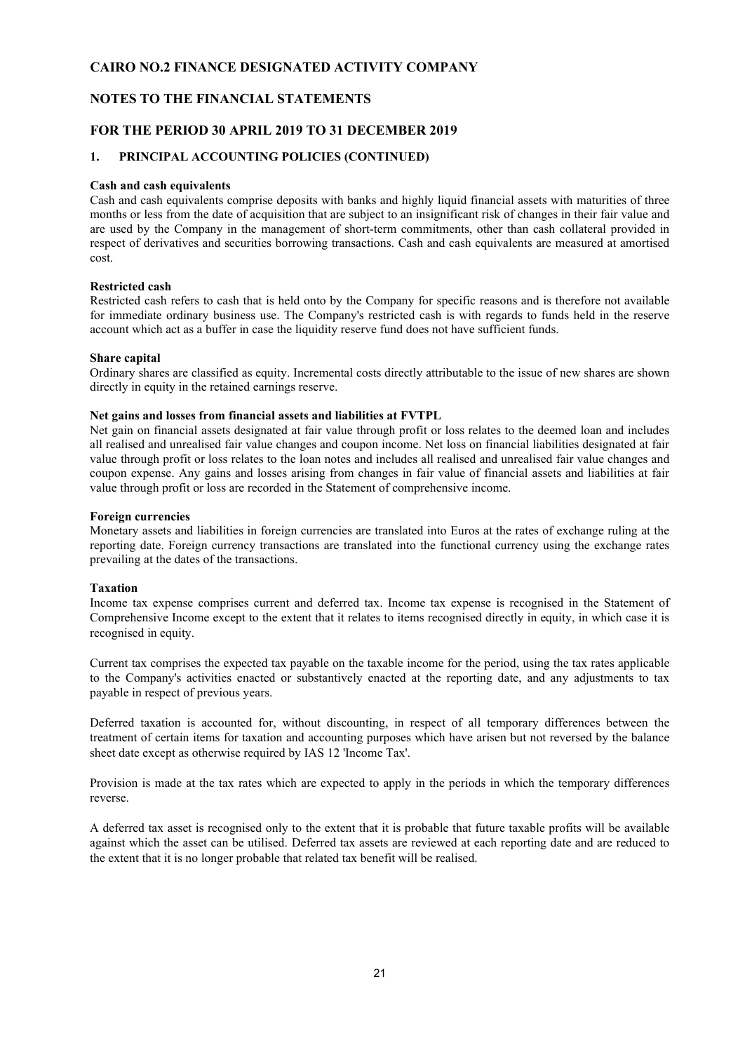#### **NOTES TO THE FINANCIAL STATEMENTS**

#### **FOR THE PERIOD 30 APRIL 2019 TO 31 DECEMBER 2019**

#### **1. PRINCIPAL ACCOUNTING POLICIES (CONTINUED)**

#### **Cash and cash equivalents**

Cash and cash equivalents comprise deposits with banks and highly liquid financial assets with maturities of three months or less from the date of acquisition that are subject to an insignificant risk of changes in their fair value and are used by the Company in the management of short-term commitments, other than cash collateral provided in respect of derivatives and securities borrowing transactions. Cash and cash equivalents are measured at amortised cost.

#### **Restricted cash**

Restricted cash refers to cash that is held onto by the Company for specific reasons and is therefore not available for immediate ordinary business use. The Company's restricted cash is with regards to funds held in the reserve account which act as a buffer in case the liquidity reserve fund does not have sufficient funds.

#### **Share capital**

Ordinary shares are classified as equity. Incremental costs directly attributable to the issue of new shares are shown directly in equity in the retained earnings reserve.

#### **Net gains and losses from financial assets and liabilities at FVTPL**

Net gain on financial assets designated at fair value through profit or loss relates to the deemed loan and includes all realised and unrealised fair value changes and coupon income. Net loss on financial liabilities designated at fair value through profit or loss relates to the loan notes and includes all realised and unrealised fair value changes and coupon expense. Any gains and losses arising from changes in fair value of financial assets and liabilities at fair value through profit or loss are recorded in the Statement of comprehensive income.

#### **Foreign currencies**

Monetary assets and liabilities in foreign currencies are translated into Euros at the rates of exchange ruling at the reporting date. Foreign currency transactions are translated into the functional currency using the exchange rates prevailing at the dates of the transactions.

#### **Taxation**

Income tax expense comprises current and deferred tax. Income tax expense is recognised in the Statement of Comprehensive Income except to the extent that it relates to items recognised directly in equity, in which case it is recognised in equity.

Current tax comprises the expected tax payable on the taxable income for the period, using the tax rates applicable to the Company's activities enacted or substantively enacted at the reporting date, and any adjustments to tax payable in respect of previous years.

Deferred taxation is accounted for, without discounting, in respect of all temporary differences between the treatment of certain items for taxation and accounting purposes which have arisen but not reversed by the balance sheet date except as otherwise required by IAS 12 'Income Tax'.

Provision is made at the tax rates which are expected to apply in the periods in which the temporary differences reverse.

A deferred tax asset is recognised only to the extent that it is probable that future taxable profits will be available against which the asset can be utilised. Deferred tax assets are reviewed at each reporting date and are reduced to the extent that it is no longer probable that related tax benefit will be realised.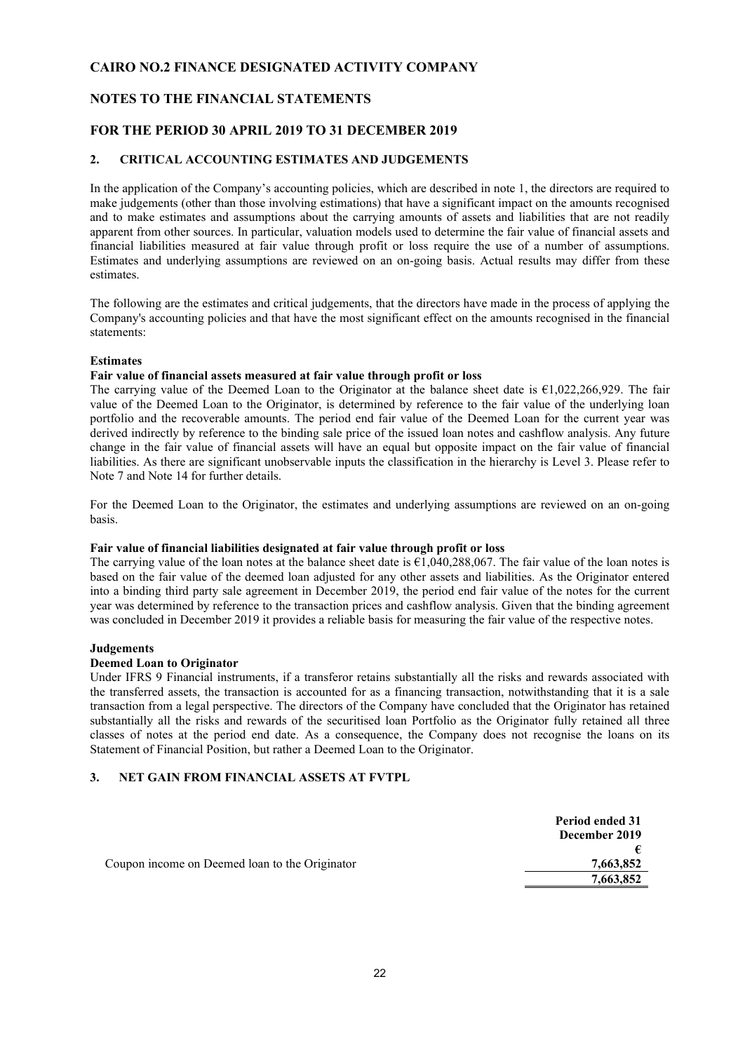#### **NOTES TO THE FINANCIAL STATEMENTS**

#### **FOR THE PERIOD 30 APRIL 2019 TO 31 DECEMBER 2019**

#### **2. CRITICAL ACCOUNTING ESTIMATES AND JUDGEMENTS**

In the application of the Company's accounting policies, which are described in note 1, the directors are required to make judgements (other than those involving estimations) that have a significant impact on the amounts recognised and to make estimates and assumptions about the carrying amounts of assets and liabilities that are not readily apparent from other sources. In particular, valuation models used to determine the fair value of financial assets and financial liabilities measured at fair value through profit or loss require the use of a number of assumptions. Estimates and underlying assumptions are reviewed on an on-going basis. Actual results may differ from these estimates.

The following are the estimates and critical judgements, that the directors have made in the process of applying the Company's accounting policies and that have the most significant effect on the amounts recognised in the financial statements:

#### **Estimates**

#### **Fair value of financial assets measured at fair value through profit or loss**

The carrying value of the Deemed Loan to the Originator at the balance sheet date is €1,022,266,929. The fair value of the Deemed Loan to the Originator, is determined by reference to the fair value of the underlying loan portfolio and the recoverable amounts. The period end fair value of the Deemed Loan for the current year was derived indirectly by reference to the binding sale price of the issued loan notes and cashflow analysis. Any future change in the fair value of financial assets will have an equal but opposite impact on the fair value of financial liabilities. As there are significant unobservable inputs the classification in the hierarchy is Level 3. Please refer to Note 7 and Note 14 for further details.

For the Deemed Loan to the Originator, the estimates and underlying assumptions are reviewed on an on-going basis.

#### **Fair value of financial liabilities designated at fair value through profit or loss**

The carrying value of the loan notes at the balance sheet date is  $\epsilon$ 1,040,288,067. The fair value of the loan notes is based on the fair value of the deemed loan adjusted for any other assets and liabilities. As the Originator entered into a binding third party sale agreement in December 2019, the period end fair value of the notes for the current year was determined by reference to the transaction prices and cashflow analysis. Given that the binding agreement was concluded in December 2019 it provides a reliable basis for measuring the fair value of the respective notes.

#### **Judgements**

#### **Deemed Loan to Originator**

Under IFRS 9 Financial instruments, if a transferor retains substantially all the risks and rewards associated with the transferred assets, the transaction is accounted for as a financing transaction, notwithstanding that it is a sale transaction from a legal perspective. The directors of the Company have concluded that the Originator has retained substantially all the risks and rewards of the securitised loan Portfolio as the Originator fully retained all three classes of notes at the period end date. As a consequence, the Company does not recognise the loans on its Statement of Financial Position, but rather a Deemed Loan to the Originator.

#### **3. NET GAIN FROM FINANCIAL ASSETS AT FVTPL**

|                                                | Period ended 31<br>December 2019 |
|------------------------------------------------|----------------------------------|
|                                                |                                  |
| Coupon income on Deemed loan to the Originator | 7,663,852                        |
|                                                | 7,663,852                        |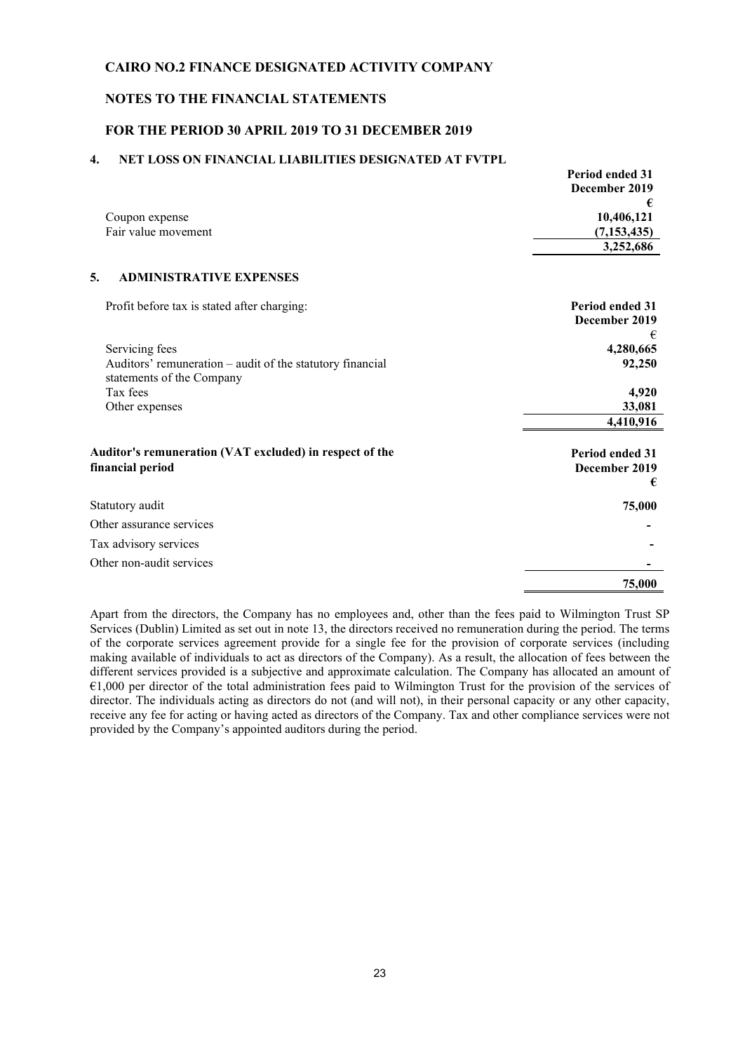#### **NOTES TO THE FINANCIAL STATEMENTS**

#### **FOR THE PERIOD 30 APRIL 2019 TO 31 DECEMBER 2019**

#### **4. NET LOSS ON FINANCIAL LIABILITIES DESIGNATED AT FVTPL**

|                     | <b>Period ended 31</b> |
|---------------------|------------------------|
|                     | December 2019          |
|                     |                        |
| Coupon expense      | 10,406,121             |
| Fair value movement | (7, 153, 435)          |
|                     | 3,252,686              |
|                     |                        |

#### **5. ADMINISTRATIVE EXPENSES**

| Profit before tax is stated after charging:                                 | <b>Period ended 31</b><br>December 2019      |
|-----------------------------------------------------------------------------|----------------------------------------------|
| Servicing fees                                                              | €<br>4,280,665                               |
| Auditors' remuneration – audit of the statutory financial                   | 92,250                                       |
| statements of the Company                                                   |                                              |
| Tax fees                                                                    | 4,920                                        |
| Other expenses                                                              | 33,081                                       |
|                                                                             | 4,410,916                                    |
| Auditor's remuneration (VAT excluded) in respect of the<br>financial period | <b>Period ended 31</b><br>December 2019<br>€ |
| Statutory audit                                                             | 75,000                                       |
| Other assurance services                                                    |                                              |
|                                                                             |                                              |
| Tax advisory services                                                       |                                              |
| Other non-audit services                                                    |                                              |

Apart from the directors, the Company has no employees and, other than the fees paid to Wilmington Trust SP Services (Dublin) Limited as set out in note 13, the directors received no remuneration during the period. The terms of the corporate services agreement provide for a single fee for the provision of corporate services (including making available of individuals to act as directors of the Company). As a result, the allocation of fees between the different services provided is a subjective and approximate calculation. The Company has allocated an amount of €1,000 per director of the total administration fees paid to Wilmington Trust for the provision of the services of director. The individuals acting as directors do not (and will not), in their personal capacity or any other capacity, receive any fee for acting or having acted as directors of the Company. Tax and other compliance services were not provided by the Company's appointed auditors during the period.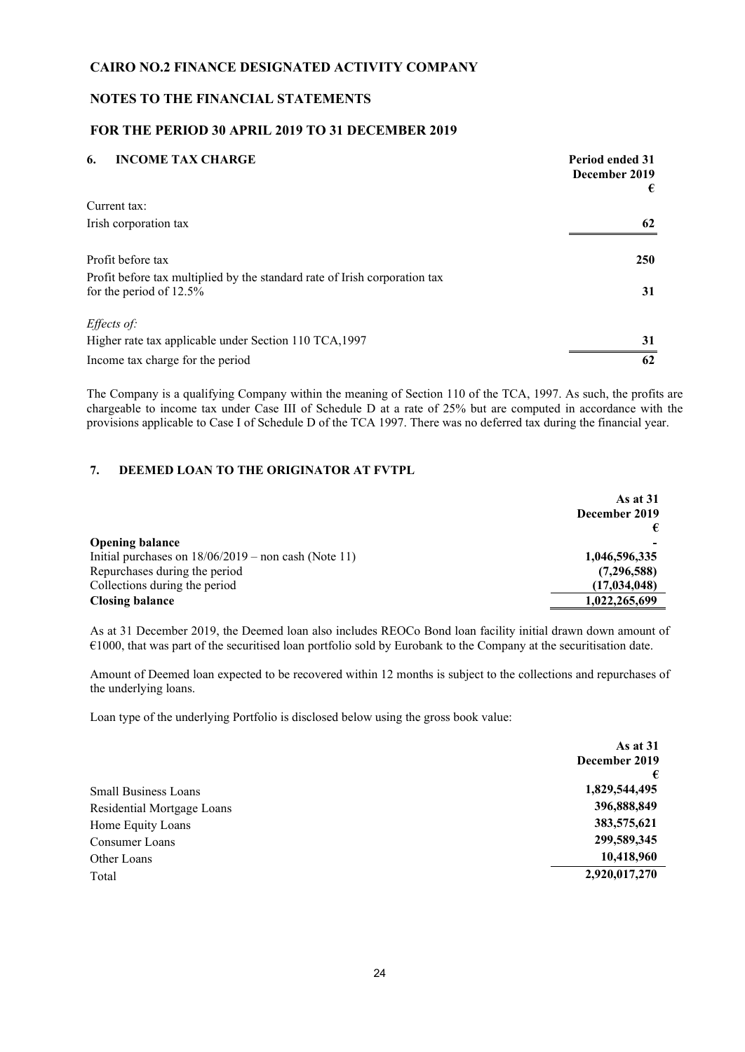#### **NOTES TO THE FINANCIAL STATEMENTS**

#### **FOR THE PERIOD 30 APRIL 2019 TO 31 DECEMBER 2019**

| <b>INCOME TAX CHARGE</b><br>6.                                                                           | <b>Period ended 31</b><br>December 2019<br>€ |
|----------------------------------------------------------------------------------------------------------|----------------------------------------------|
| Current tax:                                                                                             |                                              |
| Irish corporation tax                                                                                    | 62                                           |
| Profit before tax                                                                                        | <b>250</b>                                   |
| Profit before tax multiplied by the standard rate of Irish corporation tax<br>for the period of $12.5\%$ | 31                                           |
| Effects of:                                                                                              |                                              |
| Higher rate tax applicable under Section 110 TCA, 1997                                                   | 31                                           |
| Income tax charge for the period                                                                         | 62                                           |

The Company is a qualifying Company within the meaning of Section 110 of the TCA, 1997. As such, the profits are chargeable to income tax under Case III of Schedule D at a rate of 25% but are computed in accordance with the provisions applicable to Case I of Schedule D of the TCA 1997. There was no deferred tax during the financial year.

#### **7. DEEMED LOAN TO THE ORIGINATOR AT FVTPL**

|                                                        | As at $31$<br>December 2019 |  |
|--------------------------------------------------------|-----------------------------|--|
|                                                        |                             |  |
|                                                        |                             |  |
| <b>Opening balance</b>                                 |                             |  |
| Initial purchases on $18/06/2019$ – non cash (Note 11) | 1,046,596,335               |  |
| Repurchases during the period                          | (7,296,588)                 |  |
| Collections during the period                          | (17, 034, 048)              |  |
| <b>Closing balance</b>                                 | 1,022,265,699               |  |

As at 31 December 2019, the Deemed loan also includes REOCo Bond loan facility initial drawn down amount of €1000, that was part of the securitised loan portfolio sold by Eurobank to the Company at the securitisation date.

Amount of Deemed loan expected to be recovered within 12 months is subject to the collections and repurchases of the underlying loans.

Loan type of the underlying Portfolio is disclosed below using the gross book value:

|                             | As at $31$    |
|-----------------------------|---------------|
|                             | December 2019 |
|                             |               |
| <b>Small Business Loans</b> | 1,829,544,495 |
| Residential Mortgage Loans  | 396,888,849   |
| Home Equity Loans           | 383,575,621   |
| Consumer Loans              | 299,589,345   |
| Other Loans                 | 10,418,960    |
| Total                       | 2,920,017,270 |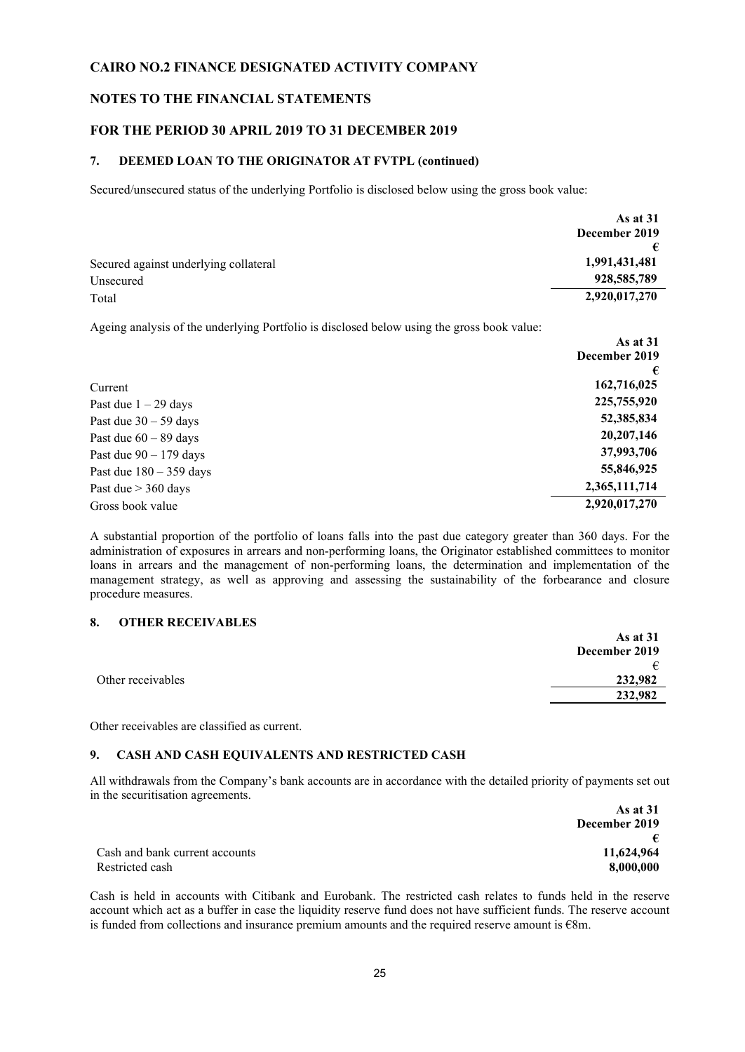#### **NOTES TO THE FINANCIAL STATEMENTS**

#### **FOR THE PERIOD 30 APRIL 2019 TO 31 DECEMBER 2019**

#### **7. DEEMED LOAN TO THE ORIGINATOR AT FVTPL (continued)**

Secured/unsecured status of the underlying Portfolio is disclosed below using the gross book value:

|                                       | As at $31$    |
|---------------------------------------|---------------|
|                                       | December 2019 |
|                                       |               |
| Secured against underlying collateral | 1,991,431,481 |
| Unsecured                             | 928,585,789   |
| Total                                 | 2,920,017,270 |

Ageing analysis of the underlying Portfolio is disclosed below using the gross book value:

|                           | As at $31$    |
|---------------------------|---------------|
|                           | December 2019 |
|                           | €             |
| Current                   | 162,716,025   |
| Past due $1 - 29$ days    | 225,755,920   |
| Past due $30 - 59$ days   | 52,385,834    |
| Past due $60 - 89$ days   | 20,207,146    |
| Past due $90 - 179$ days  | 37,993,706    |
| Past due $180 - 359$ days | 55,846,925    |
| Past due $> 360$ days     | 2,365,111,714 |
| Gross book value          | 2,920,017,270 |

A substantial proportion of the portfolio of loans falls into the past due category greater than 360 days. For the administration of exposures in arrears and non-performing loans, the Originator established committees to monitor loans in arrears and the management of non-performing loans, the determination and implementation of the management strategy, as well as approving and assessing the sustainability of the forbearance and closure procedure measures.

#### **8. OTHER RECEIVABLES**

|                   | As at $31$    |
|-------------------|---------------|
|                   | December 2019 |
|                   | €             |
| Other receivables | 232,982       |
|                   | 232,982       |
|                   |               |

Other receivables are classified as current.

#### **9. CASH AND CASH EQUIVALENTS AND RESTRICTED CASH**

All withdrawals from the Company's bank accounts are in accordance with the detailed priority of payments set out in the securitisation agreements. **As at 31** 

|                                | As at 51      |
|--------------------------------|---------------|
|                                | December 2019 |
|                                |               |
| Cash and bank current accounts | 11,624,964    |
| Restricted cash                | 8.000.000     |

Cash is held in accounts with Citibank and Eurobank. The restricted cash relates to funds held in the reserve account which act as a buffer in case the liquidity reserve fund does not have sufficient funds. The reserve account is funded from collections and insurance premium amounts and the required reserve amount is €8m.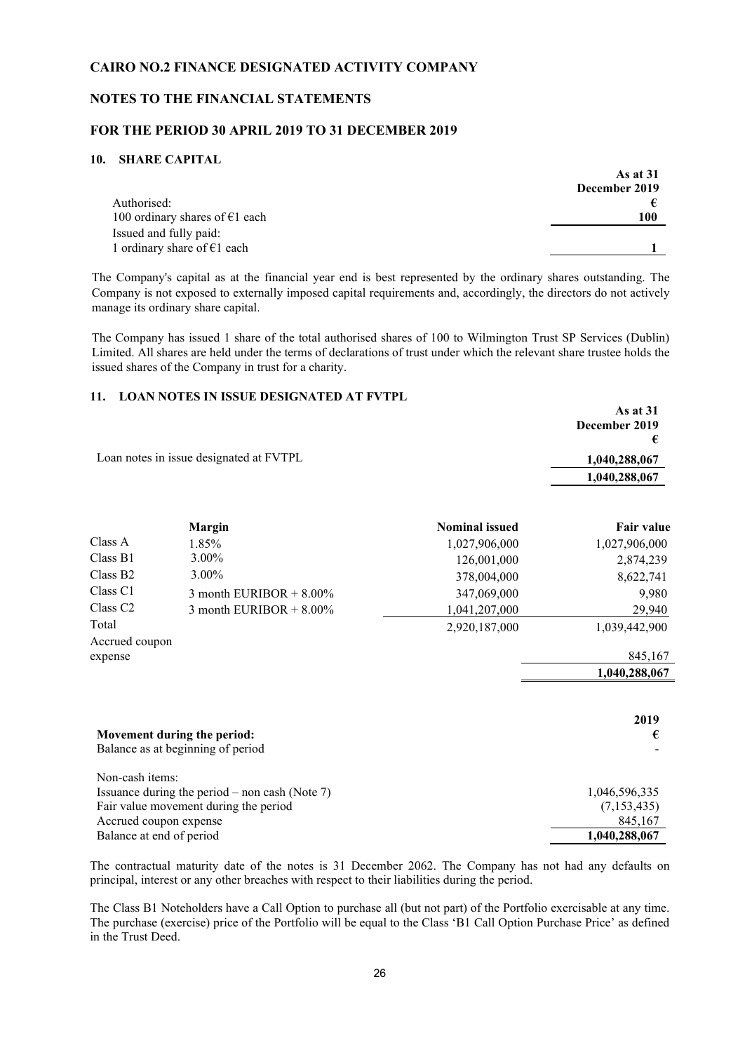#### **NOTES TO THE FINANCIAL STATEMENTS**

#### **FOR THE PERIOD 30 APRIL 2019 TO 31 DECEMBER 2019**

#### **10. SHARE CAPITAL**

|                                                         | As at $31$<br>December 2019 |
|---------------------------------------------------------|-----------------------------|
| Authorised:<br>100 ordinary shares of $\epsilon$ 1 each | 100                         |
| Issued and fully paid:                                  |                             |
| 1 ordinary share of $E1$ each                           |                             |

The Company's capital as at the financial year end is best represented by the ordinary shares outstanding. The Company is not exposed to externally imposed capital requirements and, accordingly, the directors do not actively manage its ordinary share capital.

The Company has issued 1 share of the total authorised shares of 100 to Wilmington Trust SP Services (Dublin) Limited. All shares are held under the terms of declarations of trust under which the relevant share trustee holds the issued shares of the Company in trust for a charity.

#### **11. LOAN NOTES IN ISSUE DESIGNATED AT FVTPL**

|                          |                                                                                         |                       | As at 31<br>December 2019<br>€ |
|--------------------------|-----------------------------------------------------------------------------------------|-----------------------|--------------------------------|
|                          | Loan notes in issue designated at FVTPL                                                 |                       | 1,040,288,067                  |
|                          |                                                                                         |                       | 1,040,288,067                  |
|                          | <b>Margin</b>                                                                           | <b>Nominal issued</b> | <b>Fair value</b>              |
| Class A                  | 1.85%                                                                                   | 1,027,906,000         | 1,027,906,000                  |
| Class B1                 | 3.00%                                                                                   | 126,001,000           | 2,874,239                      |
| Class B <sub>2</sub>     | 3.00%                                                                                   | 378,004,000           | 8,622,741                      |
| Class <sub>C1</sub>      | 3 month EURIBOR $+8.00\%$                                                               | 347,069,000           | 9,980                          |
| Class <sub>C2</sub>      | 3 month EURIBOR $+8.00\%$                                                               | 1,041,207,000         | 29,940                         |
| Total                    |                                                                                         | 2,920,187,000         | 1,039,442,900                  |
| Accrued coupon           |                                                                                         |                       |                                |
| expense                  |                                                                                         |                       | 845,167                        |
|                          |                                                                                         |                       | 1,040,288,067                  |
|                          |                                                                                         |                       |                                |
|                          |                                                                                         |                       | 2019                           |
|                          | Movement during the period:<br>Balance as at beginning of period                        |                       | €                              |
| Non-cash items:          |                                                                                         |                       |                                |
|                          | Issuance during the period – non cash (Note 7)<br>Fair value movement during the period |                       | 1,046,596,335<br>(7, 153, 435) |
|                          | Accrued coupon expense                                                                  |                       | 845,167                        |
| Balance at end of period |                                                                                         |                       | 1,040,288,067                  |

The contractual maturity date of the notes is 31 December 2062. The Company has not had any defaults on principal, interest or any other breaches with respect to their liabilities during the period.

The Class B1 Noteholders have a Call Option to purchase all (but not part) of the Portfolio exercisable at any time. The purchase (exercise) price of the Portfolio will be equal to the Class 'B1 Call Option Purchase Price' as defined in the Trust Deed.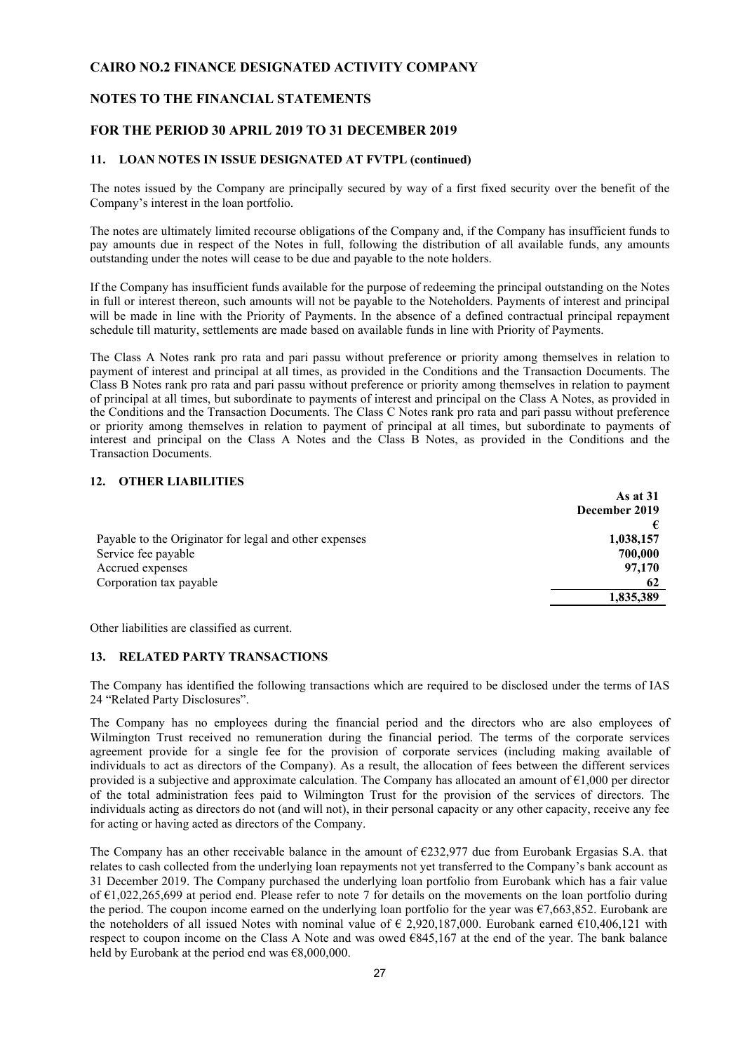#### **NOTES TO THE FINANCIAL STATEMENTS**

#### **FOR THE PERIOD 30 APRIL 2019 TO 31 DECEMBER 2019**

#### **11. LOAN NOTES IN ISSUE DESIGNATED AT FVTPL (continued)**

The notes issued by the Company are principally secured by way of a first fixed security over the benefit of the Company's interest in the loan portfolio.

The notes are ultimately limited recourse obligations of the Company and, if the Company has insufficient funds to pay amounts due in respect of the Notes in full, following the distribution of all available funds, any amounts outstanding under the notes will cease to be due and payable to the note holders.

If the Company has insufficient funds available for the purpose of redeeming the principal outstanding on the Notes in full or interest thereon, such amounts will not be payable to the Noteholders. Payments of interest and principal will be made in line with the Priority of Payments. In the absence of a defined contractual principal repayment schedule till maturity, settlements are made based on available funds in line with Priority of Payments.

The Class A Notes rank pro rata and pari passu without preference or priority among themselves in relation to payment of interest and principal at all times, as provided in the Conditions and the Transaction Documents. The Class B Notes rank pro rata and pari passu without preference or priority among themselves in relation to payment of principal at all times, but subordinate to payments of interest and principal on the Class A Notes, as provided in the Conditions and the Transaction Documents. The Class C Notes rank pro rata and pari passu without preference or priority among themselves in relation to payment of principal at all times, but subordinate to payments of interest and principal on the Class A Notes and the Class B Notes, as provided in the Conditions and the Transaction Documents.

#### **12. OTHER LIABILITIES**

|                                                        | As at 31      |
|--------------------------------------------------------|---------------|
|                                                        | December 2019 |
|                                                        |               |
| Payable to the Originator for legal and other expenses | 1,038,157     |
| Service fee payable                                    | 700,000       |
| Accrued expenses                                       | 97,170        |
| Corporation tax payable                                | 62            |
|                                                        | 1,835,389     |
|                                                        |               |

Other liabilities are classified as current.

#### **13. RELATED PARTY TRANSACTIONS**

The Company has identified the following transactions which are required to be disclosed under the terms of IAS 24 "Related Party Disclosures".

The Company has no employees during the financial period and the directors who are also employees of Wilmington Trust received no remuneration during the financial period. The terms of the corporate services agreement provide for a single fee for the provision of corporate services (including making available of individuals to act as directors of the Company). As a result, the allocation of fees between the different services provided is a subjective and approximate calculation. The Company has allocated an amount of  $\epsilon$ 1,000 per director of the total administration fees paid to Wilmington Trust for the provision of the services of directors. The individuals acting as directors do not (and will not), in their personal capacity or any other capacity, receive any fee for acting or having acted as directors of the Company.

The Company has an other receivable balance in the amount of €232,977 due from Eurobank Ergasias S.A. that relates to cash collected from the underlying loan repayments not yet transferred to the Company's bank account as 31 December 2019. The Company purchased the underlying loan portfolio from Eurobank which has a fair value of €1,022,265,699 at period end. Please refer to note 7 for details on the movements on the loan portfolio during the period. The coupon income earned on the underlying loan portfolio for the year was €7,663,852. Eurobank are the noteholders of all issued Notes with nominal value of € 2,920,187,000. Eurobank earned €10,406,121 with respect to coupon income on the Class A Note and was owed €845,167 at the end of the year. The bank balance held by Eurobank at the period end was  $€8,000,000$ .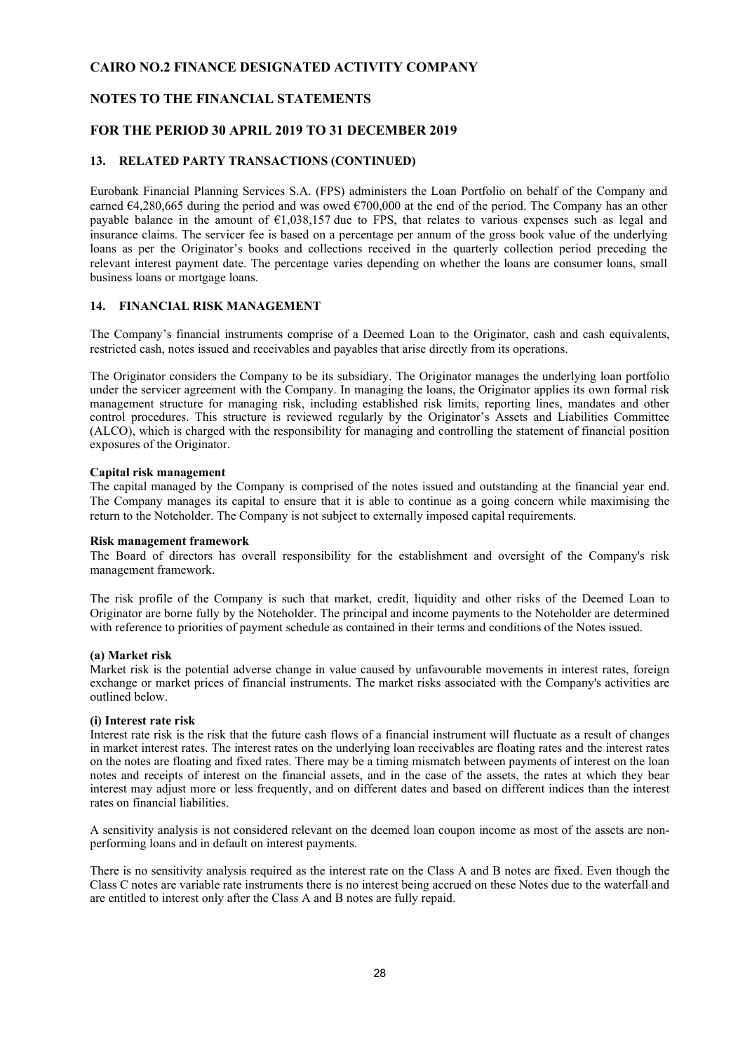#### **NOTES TO THE FINANCIAL STATEMENTS**

#### **FOR THE PERIOD 30 APRIL 2019 TO 31 DECEMBER 2019**

#### **13. RELATED PARTY TRANSACTIONS (CONTINUED)**

Eurobank Financial Planning Services S.A. (FPS) administers the Loan Portfolio on behalf of the Company and earned  $64,280,665$  during the period and was owed  $6700,000$  at the end of the period. The Company has an other payable balance in the amount of  $\epsilon$ 1,038,157 due to FPS, that relates to various expenses such as legal and insurance claims. The servicer fee is based on a percentage per annum of the gross book value of the underlying loans as per the Originator's books and collections received in the quarterly collection period preceding the relevant interest payment date. The percentage varies depending on whether the loans are consumer loans, small business loans or mortgage loans.

#### **14. FINANCIAL RISK MANAGEMENT**

The Company's financial instruments comprise of a Deemed Loan to the Originator, cash and cash equivalents, restricted cash, notes issued and receivables and payables that arise directly from its operations.

The Originator considers the Company to be its subsidiary. The Originator manages the underlying loan portfolio under the servicer agreement with the Company. In managing the loans, the Originator applies its own formal risk management structure for managing risk, including established risk limits, reporting lines, mandates and other control procedures. This structure is reviewed regularly by the Originator's Assets and Liabilities Committee (ALCO), which is charged with the responsibility for managing and controlling the statement of financial position exposures of the Originator.

#### **Capital risk management**

The capital managed by the Company is comprised of the notes issued and outstanding at the financial year end. The Company manages its capital to ensure that it is able to continue as a going concern while maximising the return to the Noteholder. The Company is not subject to externally imposed capital requirements.

#### **Risk management framework**

The Board of directors has overall responsibility for the establishment and oversight of the Company's risk management framework.

The risk profile of the Company is such that market, credit, liquidity and other risks of the Deemed Loan to Originator are borne fully by the Noteholder. The principal and income payments to the Noteholder are determined with reference to priorities of payment schedule as contained in their terms and conditions of the Notes issued.

#### **(a) Market risk**

Market risk is the potential adverse change in value caused by unfavourable movements in interest rates, foreign exchange or market prices of financial instruments. The market risks associated with the Company's activities are outlined below.

#### **(i) Interest rate risk**

Interest rate risk is the risk that the future cash flows of a financial instrument will fluctuate as a result of changes in market interest rates. The interest rates on the underlying loan receivables are floating rates and the interest rates on the notes are floating and fixed rates. There may be a timing mismatch between payments of interest on the loan notes and receipts of interest on the financial assets, and in the case of the assets, the rates at which they bear interest may adjust more or less frequently, and on different dates and based on different indices than the interest rates on financial liabilities.

A sensitivity analysis is not considered relevant on the deemed loan coupon income as most of the assets are nonperforming loans and in default on interest payments.

There is no sensitivity analysis required as the interest rate on the Class A and B notes are fixed. Even though the Class C notes are variable rate instruments there is no interest being accrued on these Notes due to the waterfall and are entitled to interest only after the Class A and B notes are fully repaid.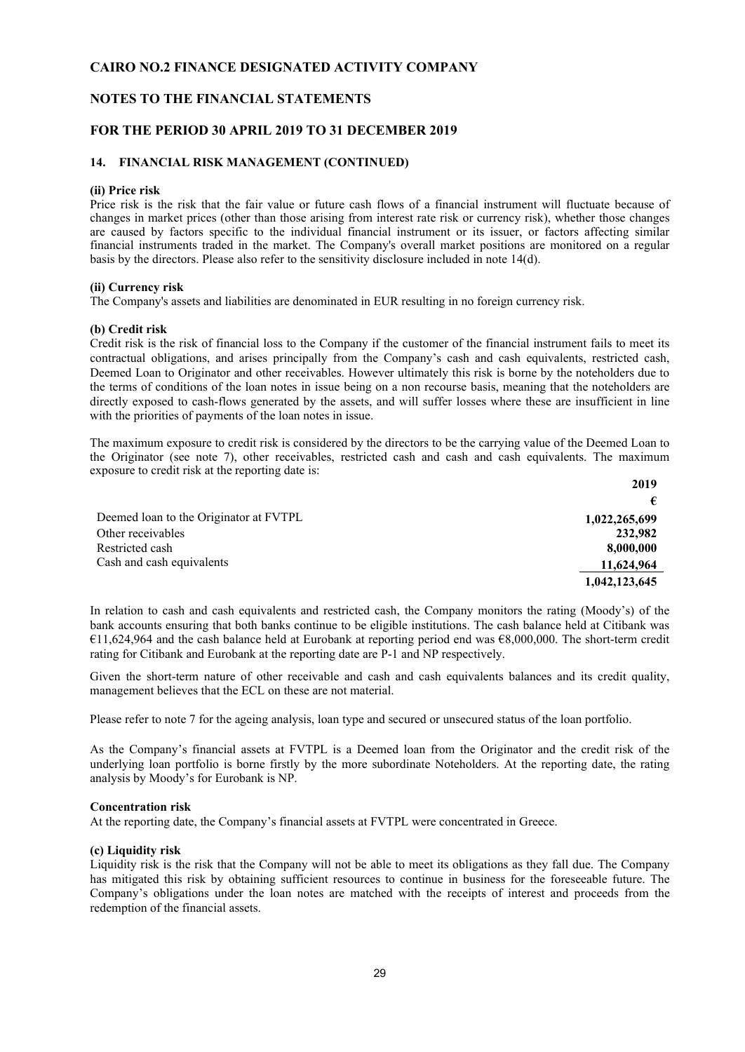#### **NOTES TO THE FINANCIAL STATEMENTS**

#### **FOR THE PERIOD 30 APRIL 2019 TO 31 DECEMBER 2019**

#### **14. FINANCIAL RISK MANAGEMENT (CONTINUED)**

#### **(ii) Price risk**

Price risk is the risk that the fair value or future cash flows of a financial instrument will fluctuate because of changes in market prices (other than those arising from interest rate risk or currency risk), whether those changes are caused by factors specific to the individual financial instrument or its issuer, or factors affecting similar financial instruments traded in the market. The Company's overall market positions are monitored on a regular basis by the directors. Please also refer to the sensitivity disclosure included in note 14(d).

#### **(ii) Currency risk**

The Company's assets and liabilities are denominated in EUR resulting in no foreign currency risk.

#### **(b) Credit risk**

Credit risk is the risk of financial loss to the Company if the customer of the financial instrument fails to meet its contractual obligations, and arises principally from the Company's cash and cash equivalents, restricted cash, Deemed Loan to Originator and other receivables. However ultimately this risk is borne by the noteholders due to the terms of conditions of the loan notes in issue being on a non recourse basis, meaning that the noteholders are directly exposed to cash-flows generated by the assets, and will suffer losses where these are insufficient in line with the priorities of payments of the loan notes in issue.

The maximum exposure to credit risk is considered by the directors to be the carrying value of the Deemed Loan to the Originator (see note 7), other receivables, restricted cash and cash and cash equivalents. The maximum exposure to credit risk at the reporting date is:

**2019**

|                                        | -             |
|----------------------------------------|---------------|
|                                        | €             |
| Deemed loan to the Originator at FVTPL | 1,022,265,699 |
| Other receivables                      | 232,982       |
| Restricted cash                        | 8,000,000     |
| Cash and cash equivalents              | 11,624,964    |
|                                        | 1,042,123,645 |

In relation to cash and cash equivalents and restricted cash, the Company monitors the rating (Moody's) of the bank accounts ensuring that both banks continue to be eligible institutions. The cash balance held at Citibank was €11,624,964 and the cash balance held at Eurobank at reporting period end was €8,000,000. The short-term credit rating for Citibank and Eurobank at the reporting date are P-1 and NP respectively.

Given the short-term nature of other receivable and cash and cash equivalents balances and its credit quality, management believes that the ECL on these are not material.

Please refer to note 7 for the ageing analysis, loan type and secured or unsecured status of the loan portfolio.

As the Company's financial assets at FVTPL is a Deemed loan from the Originator and the credit risk of the underlying loan portfolio is borne firstly by the more subordinate Noteholders. At the reporting date, the rating analysis by Moody's for Eurobank is NP.

#### **Concentration risk**

At the reporting date, the Company's financial assets at FVTPL were concentrated in Greece.

#### **(c) Liquidity risk**

Liquidity risk is the risk that the Company will not be able to meet its obligations as they fall due. The Company has mitigated this risk by obtaining sufficient resources to continue in business for the foreseeable future. The Company's obligations under the loan notes are matched with the receipts of interest and proceeds from the redemption of the financial assets.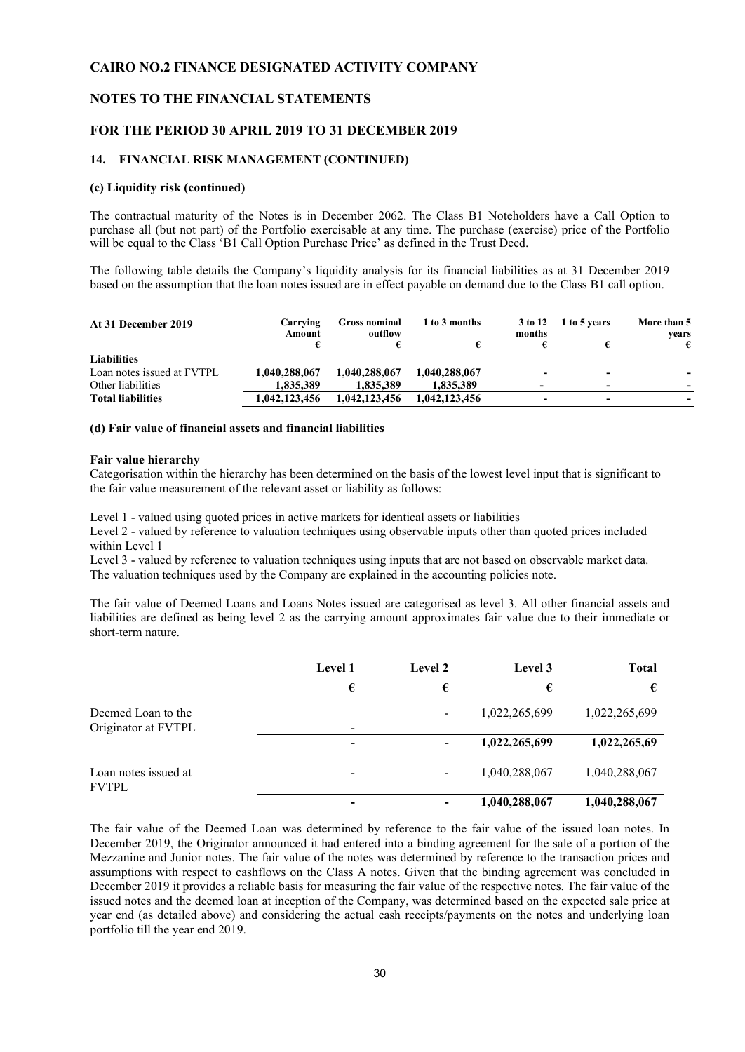#### **NOTES TO THE FINANCIAL STATEMENTS**

#### **FOR THE PERIOD 30 APRIL 2019 TO 31 DECEMBER 2019**

#### **14. FINANCIAL RISK MANAGEMENT (CONTINUED)**

#### **(c) Liquidity risk (continued)**

The contractual maturity of the Notes is in December 2062. The Class B1 Noteholders have a Call Option to purchase all (but not part) of the Portfolio exercisable at any time. The purchase (exercise) price of the Portfolio will be equal to the Class 'B1 Call Option Purchase Price' as defined in the Trust Deed.

The following table details the Company's liquidity analysis for its financial liabilities as at 31 December 2019 based on the assumption that the loan notes issued are in effect payable on demand due to the Class B1 call option.

| Carrying<br>Amount | <b>Gross nominal</b><br>outflow | 1 to 3 months | 3 to 12<br>months        | 1 to 5 years | More than 5<br>vears     |
|--------------------|---------------------------------|---------------|--------------------------|--------------|--------------------------|
|                    |                                 |               |                          |              | €                        |
|                    |                                 |               |                          |              |                          |
| 1,040,288,067      | 1,040,288,067                   | 1,040,288,067 | $\overline{\phantom{a}}$ | -            | $\overline{\phantom{a}}$ |
| 1.835.389          | 1.835.389                       | 1,835,389     |                          | -            | $\overline{\phantom{a}}$ |
| 1,042,123,456      | 1,042,123,456                   | 1,042,123,456 | -                        |              |                          |
|                    |                                 |               |                          |              |                          |

#### **(d) Fair value of financial assets and financial liabilities**

#### **Fair value hierarchy**

Categorisation within the hierarchy has been determined on the basis of the lowest level input that is significant to the fair value measurement of the relevant asset or liability as follows:

Level 1 - valued using quoted prices in active markets for identical assets or liabilities

Level 2 - valued by reference to valuation techniques using observable inputs other than quoted prices included within Level 1

Level 3 - valued by reference to valuation techniques using inputs that are not based on observable market data. The valuation techniques used by the Company are explained in the accounting policies note.

The fair value of Deemed Loans and Loans Notes issued are categorised as level 3. All other financial assets and liabilities are defined as being level 2 as the carrying amount approximates fair value due to their immediate or short-term nature.

|                                           | <b>Level 1</b>           | Level 2                  | Level 3       | <b>Total</b>  |
|-------------------------------------------|--------------------------|--------------------------|---------------|---------------|
|                                           | €                        | €                        | €             | €             |
| Deemed Loan to the<br>Originator at FVTPL | $\overline{\phantom{a}}$ | $\overline{\phantom{a}}$ | 1,022,265,699 | 1,022,265,699 |
|                                           | $\overline{\phantom{0}}$ | $\overline{\phantom{a}}$ | 1,022,265,699 | 1,022,265,69  |
| Loan notes issued at<br><b>FVTPL</b>      | -                        | $\blacksquare$           | 1,040,288,067 | 1,040,288,067 |
|                                           |                          | $\overline{\phantom{a}}$ | 1,040,288,067 | 1,040,288,067 |

The fair value of the Deemed Loan was determined by reference to the fair value of the issued loan notes. In December 2019, the Originator announced it had entered into a binding agreement for the sale of a portion of the Mezzanine and Junior notes. The fair value of the notes was determined by reference to the transaction prices and assumptions with respect to cashflows on the Class A notes. Given that the binding agreement was concluded in December 2019 it provides a reliable basis for measuring the fair value of the respective notes. The fair value of the issued notes and the deemed loan at inception of the Company, was determined based on the expected sale price at year end (as detailed above) and considering the actual cash receipts/payments on the notes and underlying loan portfolio till the year end 2019.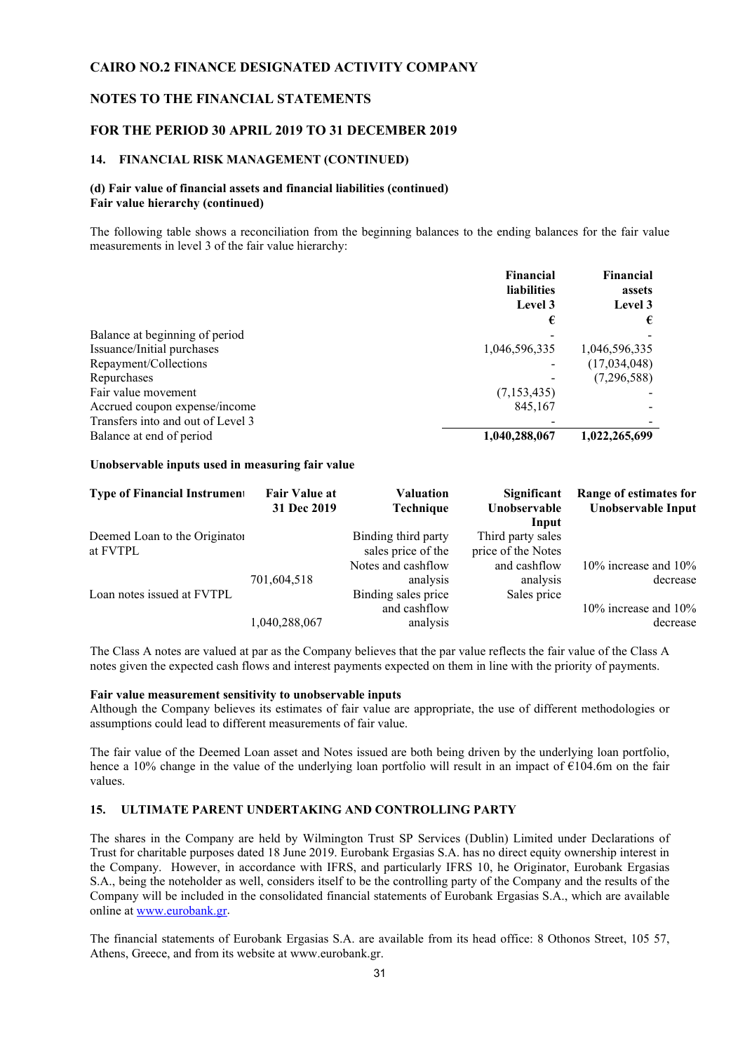#### **NOTES TO THE FINANCIAL STATEMENTS**

#### **FOR THE PERIOD 30 APRIL 2019 TO 31 DECEMBER 2019**

#### **14. FINANCIAL RISK MANAGEMENT (CONTINUED)**

#### **(d) Fair value of financial assets and financial liabilities (continued) Fair value hierarchy (continued)**

The following table shows a reconciliation from the beginning balances to the ending balances for the fair value measurements in level 3 of the fair value hierarchy:

|                                   | Financial          | Financial     |
|-----------------------------------|--------------------|---------------|
|                                   | <b>liabilities</b> | assets        |
|                                   | Level 3            | Level 3       |
|                                   | €                  | €             |
| Balance at beginning of period    |                    |               |
| Issuance/Initial purchases        | 1,046,596,335      | 1,046,596,335 |
| Repayment/Collections             |                    | (17,034,048)  |
| Repurchases                       |                    | (7,296,588)   |
| Fair value movement               | (7,153,435)        |               |
| Accrued coupon expense/income     | 845,167            |               |
| Transfers into and out of Level 3 |                    |               |
| Balance at end of period          | 1,040,288,067      | 1,022,265,699 |

#### **Unobservable inputs used in measuring fair value**

| <b>Type of Financial Instrument</b>       | <b>Fair Value at</b><br>31 Dec 2019 | <b>Valuation</b><br>Technique                         | Significant<br>Unobservable<br>Input    | Range of estimates for<br>Unobservable Input |
|-------------------------------------------|-------------------------------------|-------------------------------------------------------|-----------------------------------------|----------------------------------------------|
| Deemed Loan to the Originator<br>at FVTPL |                                     | Binding third party<br>sales price of the             | Third party sales<br>price of the Notes |                                              |
| Loan notes issued at FVTPL                | 701,604,518                         | Notes and cashflow<br>analysis<br>Binding sales price | and cashflow<br>analysis<br>Sales price | 10% increase and $10%$<br>decrease           |
|                                           | 1,040,288,067                       | and cashflow<br>analysis                              |                                         | 10% increase and $10%$<br>decrease           |

The Class A notes are valued at par as the Company believes that the par value reflects the fair value of the Class A notes given the expected cash flows and interest payments expected on them in line with the priority of payments.

#### **Fair value measurement sensitivity to unobservable inputs**

Although the Company believes its estimates of fair value are appropriate, the use of different methodologies or assumptions could lead to different measurements of fair value.

The fair value of the Deemed Loan asset and Notes issued are both being driven by the underlying loan portfolio, hence a 10% change in the value of the underlying loan portfolio will result in an impact of €104.6m on the fair values.

#### **15. ULTIMATE PARENT UNDERTAKING AND CONTROLLING PARTY**

The shares in the Company are held by Wilmington Trust SP Services (Dublin) Limited under Declarations of Trust for charitable purposes dated 18 June 2019. Eurobank Ergasias S.A. has no direct equity ownership interest in the Company. However, in accordance with IFRS, and particularly IFRS 10, he Originator, Eurobank Ergasias S.A., being the noteholder as well, considers itself to be the controlling party of the Company and the results of the Company will be included in the consolidated financial statements of Eurobank Ergasias S.A., which are available online at [www.eurobank.gr.](http://www.eurobank.gr/)

The financial statements of Eurobank Ergasias S.A. are available from its head office: 8 Othonos Street, 105 57, Athens, Greece, and from its website at [www.eurobank.gr.](http://www.eurobank.gr/)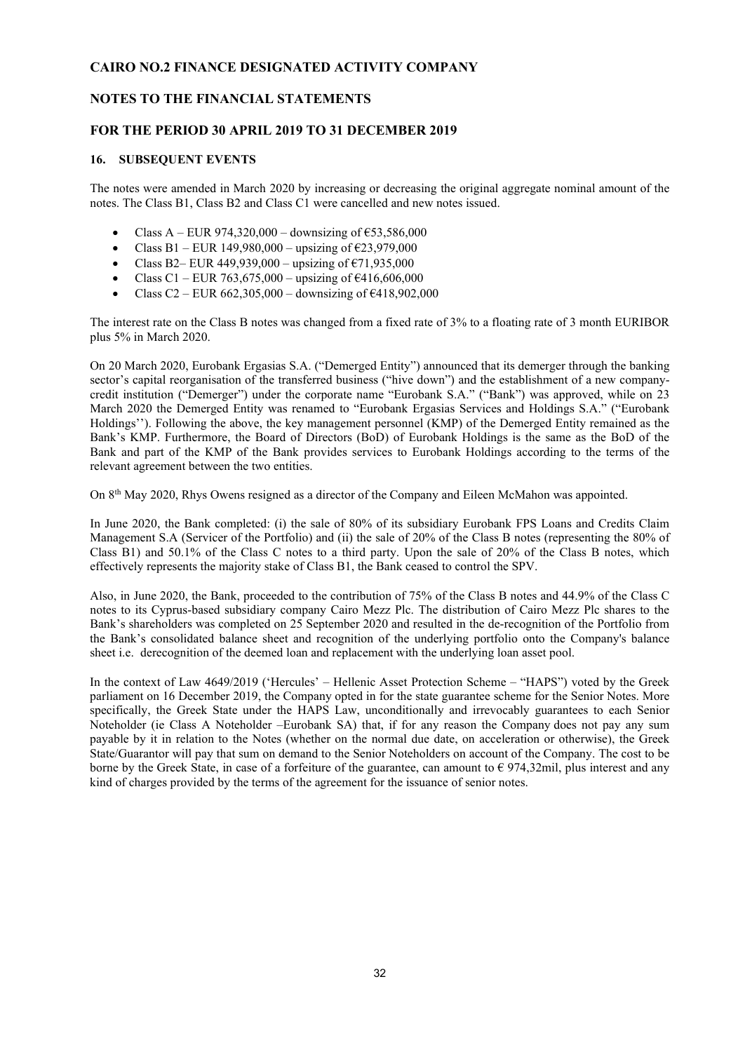#### **NOTES TO THE FINANCIAL STATEMENTS**

#### **FOR THE PERIOD 30 APRIL 2019 TO 31 DECEMBER 2019**

#### **16. SUBSEQUENT EVENTS**

The notes were amended in March 2020 by increasing or decreasing the original aggregate nominal amount of the notes. The Class B1, Class B2 and Class C1 were cancelled and new notes issued.

- Class A EUR 974,320,000 downsizing of  $653,586,000$
- Class B1 EUR 149,980,000 upsizing of  $\text{\textsterling}23,979,000$
- Class B2– EUR 449,939,000 upsizing of  $\text{\large\ensuremath{\epsilon}}71,935,000$
- Class C1 EUR 763,675,000 upsizing of  $6416,606,000$
- Class C2 EUR  $662,305,000$  downsizing of  $6418,902,000$

The interest rate on the Class B notes was changed from a fixed rate of 3% to a floating rate of 3 month EURIBOR plus 5% in March 2020.

On 20 March 2020, Eurobank Ergasias S.A. ("Demerged Entity") announced that its demerger through the banking sector's capital reorganisation of the transferred business ("hive down") and the establishment of a new companycredit institution ("Demerger") under the corporate name "Eurobank S.A." ("Bank") was approved, while on 23 March 2020 the Demerged Entity was renamed to "Eurobank Ergasias Services and Holdings S.A." ("Eurobank Holdings''). Following the above, the key management personnel (KMP) of the Demerged Entity remained as the Bank's KMP. Furthermore, the Board of Directors (BoD) of Eurobank Holdings is the same as the BoD of the Bank and part of the KMP of the Bank provides services to Eurobank Holdings according to the terms of the relevant agreement between the two entities.

On 8th May 2020, Rhys Owens resigned as a director of the Company and Eileen McMahon was appointed.

In June 2020, the Bank completed: (i) the sale of 80% of its subsidiary Eurobank FPS Loans and Credits Claim Management S.A (Servicer of the Portfolio) and (ii) the sale of 20% of the Class B notes (representing the 80% of Class B1) and 50.1% of the Class C notes to a third party. Upon the sale of 20% of the Class B notes, which effectively represents the majority stake of Class B1, the Bank ceased to control the SPV.

Also, in June 2020, the Bank, proceeded to the contribution of 75% of the Class B notes and 44.9% of the Class C notes to its Cyprus-based subsidiary company Cairo Mezz Plc. The distribution of Cairo Mezz Plc shares to the Bank's shareholders was completed on 25 September 2020 and resulted in the de-recognition of the Portfolio from the Bank's consolidated balance sheet and recognition of the underlying portfolio onto the Company's balance sheet i.e. derecognition of the deemed loan and replacement with the underlying loan asset pool.

In the context of Law 4649/2019 ('Hercules' – Hellenic Asset Protection Scheme – "HAPS") voted by the Greek parliament on 16 December 2019, the Company opted in for the state guarantee scheme for the Senior Notes. More specifically, the Greek State under the HAPS Law, unconditionally and irrevocably guarantees to each Senior Noteholder (ie Class A Noteholder –Eurobank SA) that, if for any reason the Company does not pay any sum payable by it in relation to the Notes (whether on the normal due date, on acceleration or otherwise), the Greek State/Guarantor will pay that sum on demand to the Senior Noteholders on account of the Company. The cost to be borne by the Greek State, in case of a forfeiture of the guarantee, can amount to  $\epsilon$  974,32mil, plus interest and any kind of charges provided by the terms of the agreement for the issuance of senior notes.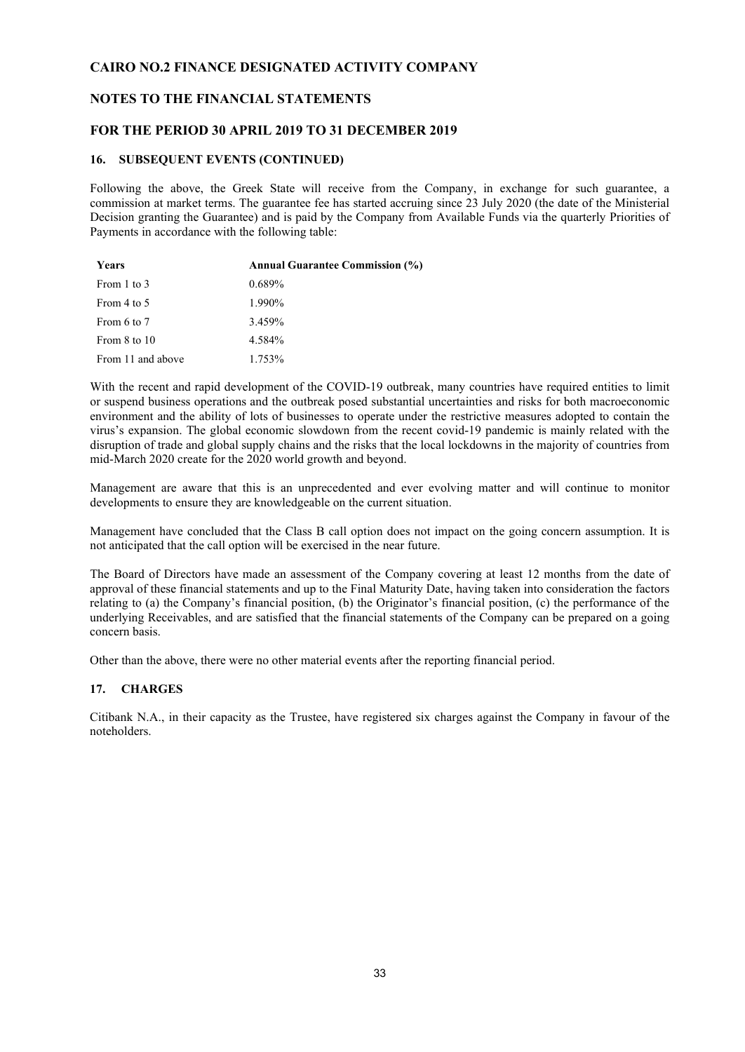#### **NOTES TO THE FINANCIAL STATEMENTS**

#### **FOR THE PERIOD 30 APRIL 2019 TO 31 DECEMBER 2019**

#### **16. SUBSEQUENT EVENTS (CONTINUED)**

Following the above, the Greek State will receive from the Company, in exchange for such guarantee, a commission at market terms. The guarantee fee has started accruing since 23 July 2020 (the date of the Ministerial Decision granting the Guarantee) and is paid by the Company from Available Funds via the quarterly Priorities of Payments in accordance with the following table:

| Years             | <b>Annual Guarantee Commission (%)</b> |
|-------------------|----------------------------------------|
| From 1 to 3       | $0.689\%$                              |
| From 4 to 5       | 1.990%                                 |
| From 6 to 7       | 3.459%                                 |
| From 8 to 10      | 4.584%                                 |
| From 11 and above | 1.753%                                 |

With the recent and rapid development of the COVID-19 outbreak, many countries have required entities to limit or suspend business operations and the outbreak posed substantial uncertainties and risks for both macroeconomic environment and the ability of lots of businesses to operate under the restrictive measures adopted to contain the virus's expansion. The global economic slowdown from the recent covid-19 pandemic is mainly related with the disruption of trade and global supply chains and the risks that the local lockdowns in the majority of countries from mid-March 2020 create for the 2020 world growth and beyond.

Management are aware that this is an unprecedented and ever evolving matter and will continue to monitor developments to ensure they are knowledgeable on the current situation.

Management have concluded that the Class B call option does not impact on the going concern assumption. It is not anticipated that the call option will be exercised in the near future.

The Board of Directors have made an assessment of the Company covering at least 12 months from the date of approval of these financial statements and up to the Final Maturity Date, having taken into consideration the factors relating to (a) the Company's financial position, (b) the Originator's financial position, (c) the performance of the underlying Receivables, and are satisfied that the financial statements of the Company can be prepared on a going concern basis.

Other than the above, there were no other material events after the reporting financial period.

#### **17. CHARGES**

Citibank N.A., in their capacity as the Trustee, have registered six charges against the Company in favour of the noteholders.